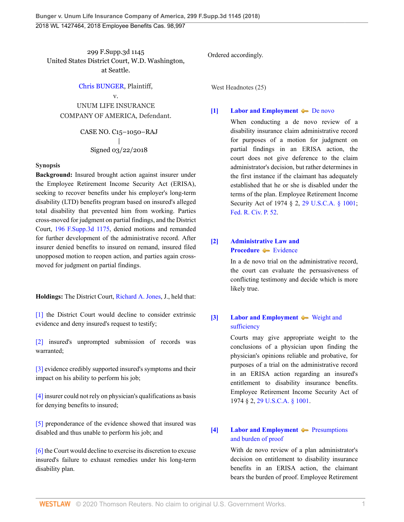299 F.Supp.3d 1145 United States District Court, W.D. Washington, at Seattle.

#### [Chris BUNGER](http://www.westlaw.com/Search/Results.html?query=advanced%3a+OAID(5038189688)&saveJuris=False&contentType=BUSINESS-INVESTIGATOR&startIndex=1&contextData=(sc.Default)&categoryPageUrl=Home%2fCompanyInvestigator&originationContext=document&vr=3.0&rs=cblt1.0&transitionType=DocumentItem), Plaintiff,

v. UNUM LIFE INSURANCE COMPANY OF AMERICA, Defendant.

> CASE NO. C15–1050–RAJ | Signed 03/22/2018

#### **Synopsis**

**Background:** Insured brought action against insurer under the Employee Retirement Income Security Act (ERISA), seeking to recover benefits under his employer's long-term disability (LTD) benefits program based on insured's alleged total disability that prevented him from working. Parties cross-moved for judgment on partial findings, and the District Court, [196 F.Supp.3d 1175](http://www.westlaw.com/Link/Document/FullText?findType=Y&serNum=2039400144&pubNum=0007903&originatingDoc=I264d33a02e8211e888d5f23feb60b681&refType=RP&originationContext=document&vr=3.0&rs=cblt1.0&transitionType=DocumentItem&contextData=(sc.UserEnteredCitation)), denied motions and remanded for further development of the administrative record. After insurer denied benefits to insured on remand, insured filed unopposed motion to reopen action, and parties again crossmoved for judgment on partial findings.

**Holdings:** The District Court, [Richard A. Jones,](http://www.westlaw.com/Link/Document/FullText?findType=h&pubNum=176284&cite=0174547201&originatingDoc=I264d33a02e8211e888d5f23feb60b681&refType=RQ&originationContext=document&vr=3.0&rs=cblt1.0&transitionType=DocumentItem&contextData=(sc.UserEnteredCitation)) J., held that:

[\[1\]](#page-1-0) the District Court would decline to consider extrinsic evidence and deny insured's request to testify;

[\[2\]](#page-1-1) insured's unprompted submission of records was warranted;

[\[3\]](#page-2-0) evidence credibly supported insured's symptoms and their impact on his ability to perform his job;

[\[4\]](#page-2-1) insurer could not rely on physician's qualifications as basis for denying benefits to insured;

[\[5\]](#page-3-0) preponderance of the evidence showed that insured was disabled and thus unable to perform his job; and

[\[6\]](#page-4-0) the Court would decline to exercise its discretion to excuse insured's failure to exhaust remedies under his long-term disability plan.

Ordered accordingly.

West Headnotes (25)

#### <span id="page-0-0"></span>**[\[1\]](#page-10-0) [Labor and Employment](http://www.westlaw.com/Browse/Home/KeyNumber/231H/View.html?docGuid=I264d33a02e8211e888d5f23feb60b681&originationContext=document&vr=3.0&rs=cblt1.0&transitionType=DocumentItem&contextData=(sc.UserEnteredCitation))**  $\blacklozenge$  **[De novo](http://www.westlaw.com/Browse/Home/KeyNumber/231Hk686/View.html?docGuid=I264d33a02e8211e888d5f23feb60b681&originationContext=document&vr=3.0&rs=cblt1.0&transitionType=DocumentItem&contextData=(sc.UserEnteredCitation))**

When conducting a de novo review of a disability insurance claim administrative record for purposes of a motion for judgment on partial findings in an ERISA action, the court does not give deference to the claim administrator's decision, but rather determines in the first instance if the claimant has adequately established that he or she is disabled under the terms of the plan. Employee Retirement Income Security Act of 1974 § 2, [29 U.S.C.A. § 1001;](http://www.westlaw.com/Link/Document/FullText?findType=L&pubNum=1000546&cite=29USCAS1001&originatingDoc=I264d33a02e8211e888d5f23feb60b681&refType=LQ&originationContext=document&vr=3.0&rs=cblt1.0&transitionType=DocumentItem&contextData=(sc.UserEnteredCitation)) [Fed. R. Civ. P. 52](http://www.westlaw.com/Link/Document/FullText?findType=L&pubNum=1000600&cite=USFRCPR52&originatingDoc=I264d33a02e8211e888d5f23feb60b681&refType=LQ&originationContext=document&vr=3.0&rs=cblt1.0&transitionType=DocumentItem&contextData=(sc.UserEnteredCitation)).

## <span id="page-0-1"></span>**[\[2\]](#page-10-1) [Administrative Law and](http://www.westlaw.com/Browse/Home/KeyNumber/15A/View.html?docGuid=I264d33a02e8211e888d5f23feb60b681&originationContext=document&vr=3.0&rs=cblt1.0&transitionType=DocumentItem&contextData=(sc.UserEnteredCitation)) [Procedure](http://www.westlaw.com/Browse/Home/KeyNumber/15A/View.html?docGuid=I264d33a02e8211e888d5f23feb60b681&originationContext=document&vr=3.0&rs=cblt1.0&transitionType=DocumentItem&contextData=(sc.UserEnteredCitation))** [Evidence](http://www.westlaw.com/Browse/Home/KeyNumber/15Ak1953/View.html?docGuid=I264d33a02e8211e888d5f23feb60b681&originationContext=document&vr=3.0&rs=cblt1.0&transitionType=DocumentItem&contextData=(sc.UserEnteredCitation))

In a de novo trial on the administrative record, the court can evaluate the persuasiveness of conflicting testimony and decide which is more likely true.

## <span id="page-0-2"></span>**[\[3\]](#page-10-2) [Labor and Employment](http://www.westlaw.com/Browse/Home/KeyNumber/231H/View.html?docGuid=I264d33a02e8211e888d5f23feb60b681&originationContext=document&vr=3.0&rs=cblt1.0&transitionType=DocumentItem&contextData=(sc.UserEnteredCitation))**  $\blacktriangleright$  [Weight and](http://www.westlaw.com/Browse/Home/KeyNumber/231Hk629(2)/View.html?docGuid=I264d33a02e8211e888d5f23feb60b681&originationContext=document&vr=3.0&rs=cblt1.0&transitionType=DocumentItem&contextData=(sc.UserEnteredCitation)) [sufficiency](http://www.westlaw.com/Browse/Home/KeyNumber/231Hk629(2)/View.html?docGuid=I264d33a02e8211e888d5f23feb60b681&originationContext=document&vr=3.0&rs=cblt1.0&transitionType=DocumentItem&contextData=(sc.UserEnteredCitation))

Courts may give appropriate weight to the conclusions of a physician upon finding the physician's opinions reliable and probative, for purposes of a trial on the administrative record in an ERISA action regarding an insured's entitlement to disability insurance benefits. Employee Retirement Income Security Act of 1974 § 2, [29 U.S.C.A. § 1001.](http://www.westlaw.com/Link/Document/FullText?findType=L&pubNum=1000546&cite=29USCAS1001&originatingDoc=I264d33a02e8211e888d5f23feb60b681&refType=LQ&originationContext=document&vr=3.0&rs=cblt1.0&transitionType=DocumentItem&contextData=(sc.UserEnteredCitation))

## <span id="page-0-3"></span>**[\[4\]](#page-10-3) [Labor and Employment](http://www.westlaw.com/Browse/Home/KeyNumber/231H/View.html?docGuid=I264d33a02e8211e888d5f23feb60b681&originationContext=document&vr=3.0&rs=cblt1.0&transitionType=DocumentItem&contextData=(sc.UserEnteredCitation))**  $\blacklozenge$  [Presumptions](http://www.westlaw.com/Browse/Home/KeyNumber/231Hk694/View.html?docGuid=I264d33a02e8211e888d5f23feb60b681&originationContext=document&vr=3.0&rs=cblt1.0&transitionType=DocumentItem&contextData=(sc.UserEnteredCitation)) [and burden of proof](http://www.westlaw.com/Browse/Home/KeyNumber/231Hk694/View.html?docGuid=I264d33a02e8211e888d5f23feb60b681&originationContext=document&vr=3.0&rs=cblt1.0&transitionType=DocumentItem&contextData=(sc.UserEnteredCitation))

With de novo review of a plan administrator's decision on entitlement to disability insurance benefits in an ERISA action, the claimant bears the burden of proof. Employee Retirement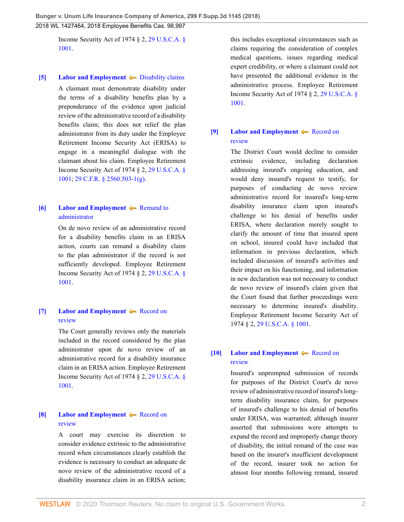Income Security Act of 1974 § 2, [29 U.S.C.A. §](http://www.westlaw.com/Link/Document/FullText?findType=L&pubNum=1000546&cite=29USCAS1001&originatingDoc=I264d33a02e8211e888d5f23feb60b681&refType=LQ&originationContext=document&vr=3.0&rs=cblt1.0&transitionType=DocumentItem&contextData=(sc.UserEnteredCitation)) [1001](http://www.westlaw.com/Link/Document/FullText?findType=L&pubNum=1000546&cite=29USCAS1001&originatingDoc=I264d33a02e8211e888d5f23feb60b681&refType=LQ&originationContext=document&vr=3.0&rs=cblt1.0&transitionType=DocumentItem&contextData=(sc.UserEnteredCitation)).

#### <span id="page-1-2"></span>**[\[5\]](#page-10-4) [Labor and Employment](http://www.westlaw.com/Browse/Home/KeyNumber/231H/View.html?docGuid=I264d33a02e8211e888d5f23feb60b681&originationContext=document&vr=3.0&rs=cblt1.0&transitionType=DocumentItem&contextData=(sc.UserEnteredCitation))**  $\blacktriangleright$  [Disability claims](http://www.westlaw.com/Browse/Home/KeyNumber/231Hk696(2)/View.html?docGuid=I264d33a02e8211e888d5f23feb60b681&originationContext=document&vr=3.0&rs=cblt1.0&transitionType=DocumentItem&contextData=(sc.UserEnteredCitation))

A claimant must demonstrate disability under the terms of a disability benefits plan by a preponderance of the evidence upon judicial review of the administrative record of a disability benefits claim; this does not relief the plan administrator from its duty under the Employee Retirement Income Security Act (ERISA) to engage in a meaningful dialogue with the claimant about his claim. Employee Retirement Income Security Act of 1974 § 2, [29 U.S.C.A. §](http://www.westlaw.com/Link/Document/FullText?findType=L&pubNum=1000546&cite=29USCAS1001&originatingDoc=I264d33a02e8211e888d5f23feb60b681&refType=LQ&originationContext=document&vr=3.0&rs=cblt1.0&transitionType=DocumentItem&contextData=(sc.UserEnteredCitation)) [1001](http://www.westlaw.com/Link/Document/FullText?findType=L&pubNum=1000546&cite=29USCAS1001&originatingDoc=I264d33a02e8211e888d5f23feb60b681&refType=LQ&originationContext=document&vr=3.0&rs=cblt1.0&transitionType=DocumentItem&contextData=(sc.UserEnteredCitation)); [29 C.F.R. § 2560.503-1\(g\)](http://www.westlaw.com/Link/Document/FullText?findType=L&pubNum=1000547&cite=29CFRS2560.503-1&originatingDoc=I264d33a02e8211e888d5f23feb60b681&refType=LQ&originationContext=document&vr=3.0&rs=cblt1.0&transitionType=DocumentItem&contextData=(sc.UserEnteredCitation)).

#### <span id="page-1-3"></span>**[\[6\]](#page-10-5) [Labor and Employment](http://www.westlaw.com/Browse/Home/KeyNumber/231H/View.html?docGuid=I264d33a02e8211e888d5f23feb60b681&originationContext=document&vr=3.0&rs=cblt1.0&transitionType=DocumentItem&contextData=(sc.UserEnteredCitation)) A** [Remand to](http://www.westlaw.com/Browse/Home/KeyNumber/231Hk704/View.html?docGuid=I264d33a02e8211e888d5f23feb60b681&originationContext=document&vr=3.0&rs=cblt1.0&transitionType=DocumentItem&contextData=(sc.UserEnteredCitation)) [administrator](http://www.westlaw.com/Browse/Home/KeyNumber/231Hk704/View.html?docGuid=I264d33a02e8211e888d5f23feb60b681&originationContext=document&vr=3.0&rs=cblt1.0&transitionType=DocumentItem&contextData=(sc.UserEnteredCitation))

On de novo review of an administrative record for a disability benefits claim in an ERISA action, courts can remand a disability claim to the plan administrator if the record is not sufficiently developed. Employee Retirement Income Security Act of 1974 § 2, [29 U.S.C.A. §](http://www.westlaw.com/Link/Document/FullText?findType=L&pubNum=1000546&cite=29USCAS1001&originatingDoc=I264d33a02e8211e888d5f23feb60b681&refType=LQ&originationContext=document&vr=3.0&rs=cblt1.0&transitionType=DocumentItem&contextData=(sc.UserEnteredCitation)) [1001](http://www.westlaw.com/Link/Document/FullText?findType=L&pubNum=1000546&cite=29USCAS1001&originatingDoc=I264d33a02e8211e888d5f23feb60b681&refType=LQ&originationContext=document&vr=3.0&rs=cblt1.0&transitionType=DocumentItem&contextData=(sc.UserEnteredCitation)).

## <span id="page-1-4"></span>**[\[7\]](#page-10-6) [Labor and Employment](http://www.westlaw.com/Browse/Home/KeyNumber/231H/View.html?docGuid=I264d33a02e8211e888d5f23feb60b681&originationContext=document&vr=3.0&rs=cblt1.0&transitionType=DocumentItem&contextData=(sc.UserEnteredCitation))**  $\blacklozenge$  [Record on](http://www.westlaw.com/Browse/Home/KeyNumber/231Hk691/View.html?docGuid=I264d33a02e8211e888d5f23feb60b681&originationContext=document&vr=3.0&rs=cblt1.0&transitionType=DocumentItem&contextData=(sc.UserEnteredCitation)) [review](http://www.westlaw.com/Browse/Home/KeyNumber/231Hk691/View.html?docGuid=I264d33a02e8211e888d5f23feb60b681&originationContext=document&vr=3.0&rs=cblt1.0&transitionType=DocumentItem&contextData=(sc.UserEnteredCitation))

The Court generally reviews only the materials included in the record considered by the plan administrator upon de novo review of an administrative record for a disability insurance claim in an ERISA action. Employee Retirement Income Security Act of 1974 § 2, [29 U.S.C.A. §](http://www.westlaw.com/Link/Document/FullText?findType=L&pubNum=1000546&cite=29USCAS1001&originatingDoc=I264d33a02e8211e888d5f23feb60b681&refType=LQ&originationContext=document&vr=3.0&rs=cblt1.0&transitionType=DocumentItem&contextData=(sc.UserEnteredCitation)) [1001](http://www.westlaw.com/Link/Document/FullText?findType=L&pubNum=1000546&cite=29USCAS1001&originatingDoc=I264d33a02e8211e888d5f23feb60b681&refType=LQ&originationContext=document&vr=3.0&rs=cblt1.0&transitionType=DocumentItem&contextData=(sc.UserEnteredCitation)).

## <span id="page-1-5"></span>**[\[8\]](#page-10-7) [Labor and Employment](http://www.westlaw.com/Browse/Home/KeyNumber/231H/View.html?docGuid=I264d33a02e8211e888d5f23feb60b681&originationContext=document&vr=3.0&rs=cblt1.0&transitionType=DocumentItem&contextData=(sc.UserEnteredCitation))**  $\blacktriangleright$  [Record on](http://www.westlaw.com/Browse/Home/KeyNumber/231Hk691/View.html?docGuid=I264d33a02e8211e888d5f23feb60b681&originationContext=document&vr=3.0&rs=cblt1.0&transitionType=DocumentItem&contextData=(sc.UserEnteredCitation)) [review](http://www.westlaw.com/Browse/Home/KeyNumber/231Hk691/View.html?docGuid=I264d33a02e8211e888d5f23feb60b681&originationContext=document&vr=3.0&rs=cblt1.0&transitionType=DocumentItem&contextData=(sc.UserEnteredCitation))

A court may exercise its discretion to consider evidence extrinsic to the administrative record when circumstances clearly establish the evidence is necessary to conduct an adequate de novo review of the administrative record of a disability insurance claim in an ERISA action;

this includes exceptional circumstances such as claims requiring the consideration of complex medical questions, issues regarding medical expert credibility, or where a claimant could not have presented the additional evidence in the administrative process. Employee Retirement Income Security Act of 1974 § 2, [29 U.S.C.A. §](http://www.westlaw.com/Link/Document/FullText?findType=L&pubNum=1000546&cite=29USCAS1001&originatingDoc=I264d33a02e8211e888d5f23feb60b681&refType=LQ&originationContext=document&vr=3.0&rs=cblt1.0&transitionType=DocumentItem&contextData=(sc.UserEnteredCitation)) [1001.](http://www.westlaw.com/Link/Document/FullText?findType=L&pubNum=1000546&cite=29USCAS1001&originatingDoc=I264d33a02e8211e888d5f23feb60b681&refType=LQ&originationContext=document&vr=3.0&rs=cblt1.0&transitionType=DocumentItem&contextData=(sc.UserEnteredCitation))

#### <span id="page-1-0"></span>**[\[9\]](#page-10-8) [Labor and Employment](http://www.westlaw.com/Browse/Home/KeyNumber/231H/View.html?docGuid=I264d33a02e8211e888d5f23feb60b681&originationContext=document&vr=3.0&rs=cblt1.0&transitionType=DocumentItem&contextData=(sc.UserEnteredCitation))**  $\blacktriangleright$  [Record on](http://www.westlaw.com/Browse/Home/KeyNumber/231Hk691/View.html?docGuid=I264d33a02e8211e888d5f23feb60b681&originationContext=document&vr=3.0&rs=cblt1.0&transitionType=DocumentItem&contextData=(sc.UserEnteredCitation)) [review](http://www.westlaw.com/Browse/Home/KeyNumber/231Hk691/View.html?docGuid=I264d33a02e8211e888d5f23feb60b681&originationContext=document&vr=3.0&rs=cblt1.0&transitionType=DocumentItem&contextData=(sc.UserEnteredCitation))

The District Court would decline to consider extrinsic evidence, including declaration addressing insured's ongoing education, and would deny insured's request to testify, for purposes of conducting de novo review administrative record for insured's long-term disability insurance claim upon insured's challenge to his denial of benefits under ERISA, where declaration merely sought to clarify the amount of time that insured spent on school, insured could have included that information in previous declaration, which included discussion of insured's activities and their impact on his functioning, and information in new declaration was not necessary to conduct de novo review of insured's claim given that the Court found that further proceedings were necessary to determine insured's disability. Employee Retirement Income Security Act of 1974 § 2, [29 U.S.C.A. § 1001.](http://www.westlaw.com/Link/Document/FullText?findType=L&pubNum=1000546&cite=29USCAS1001&originatingDoc=I264d33a02e8211e888d5f23feb60b681&refType=LQ&originationContext=document&vr=3.0&rs=cblt1.0&transitionType=DocumentItem&contextData=(sc.UserEnteredCitation))

## <span id="page-1-1"></span>**[\[10\]](#page-10-9) [Labor and Employment](http://www.westlaw.com/Browse/Home/KeyNumber/231H/View.html?docGuid=I264d33a02e8211e888d5f23feb60b681&originationContext=document&vr=3.0&rs=cblt1.0&transitionType=DocumentItem&contextData=(sc.UserEnteredCitation))**  $\blacktriangleright$  [Record on](http://www.westlaw.com/Browse/Home/KeyNumber/231Hk691/View.html?docGuid=I264d33a02e8211e888d5f23feb60b681&originationContext=document&vr=3.0&rs=cblt1.0&transitionType=DocumentItem&contextData=(sc.UserEnteredCitation)) [review](http://www.westlaw.com/Browse/Home/KeyNumber/231Hk691/View.html?docGuid=I264d33a02e8211e888d5f23feb60b681&originationContext=document&vr=3.0&rs=cblt1.0&transitionType=DocumentItem&contextData=(sc.UserEnteredCitation))

Insured's unprompted submission of records for purposes of the District Court's de novo review of administrative record of insured's longterm disability insurance claim, for purposes of insured's challenge to his denial of benefits under ERISA, was warranted; although insurer asserted that submissions were attempts to expand the record and improperly change theory of disability, the initial remand of the case was based on the insurer's insufficient development of the record, insurer took no action for almost four months following remand, insured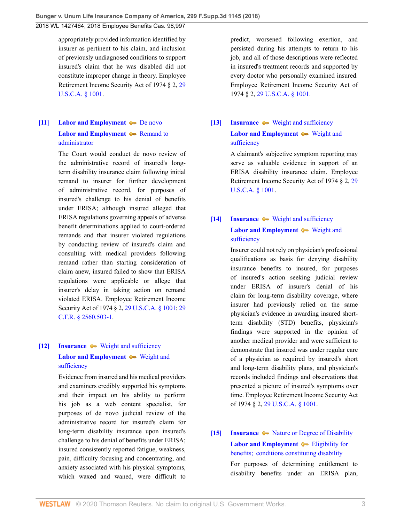appropriately provided information identified by insurer as pertinent to his claim, and inclusion of previously undiagnosed conditions to support insured's claim that he was disabled did not constitute improper change in theory. Employee Retirement Income Security Act of 1974 § 2, [29](http://www.westlaw.com/Link/Document/FullText?findType=L&pubNum=1000546&cite=29USCAS1001&originatingDoc=I264d33a02e8211e888d5f23feb60b681&refType=LQ&originationContext=document&vr=3.0&rs=cblt1.0&transitionType=DocumentItem&contextData=(sc.UserEnteredCitation)) [U.S.C.A. § 1001](http://www.westlaw.com/Link/Document/FullText?findType=L&pubNum=1000546&cite=29USCAS1001&originatingDoc=I264d33a02e8211e888d5f23feb60b681&refType=LQ&originationContext=document&vr=3.0&rs=cblt1.0&transitionType=DocumentItem&contextData=(sc.UserEnteredCitation)).

# <span id="page-2-2"></span>**[\[11\]](#page-11-0) [Labor and Employment](http://www.westlaw.com/Browse/Home/KeyNumber/231H/View.html?docGuid=I264d33a02e8211e888d5f23feb60b681&originationContext=document&vr=3.0&rs=cblt1.0&transitionType=DocumentItem&contextData=(sc.UserEnteredCitation))**  $\blacklozenge$  **[De novo](http://www.westlaw.com/Browse/Home/KeyNumber/231Hk686/View.html?docGuid=I264d33a02e8211e888d5f23feb60b681&originationContext=document&vr=3.0&rs=cblt1.0&transitionType=DocumentItem&contextData=(sc.UserEnteredCitation)) [Labor and Employment](http://www.westlaw.com/Browse/Home/KeyNumber/231H/View.html?docGuid=I264d33a02e8211e888d5f23feb60b681&originationContext=document&vr=3.0&rs=cblt1.0&transitionType=DocumentItem&contextData=(sc.UserEnteredCitation))**  $\blacklozenge$  [Remand to](http://www.westlaw.com/Browse/Home/KeyNumber/231Hk704/View.html?docGuid=I264d33a02e8211e888d5f23feb60b681&originationContext=document&vr=3.0&rs=cblt1.0&transitionType=DocumentItem&contextData=(sc.UserEnteredCitation)) [administrator](http://www.westlaw.com/Browse/Home/KeyNumber/231Hk704/View.html?docGuid=I264d33a02e8211e888d5f23feb60b681&originationContext=document&vr=3.0&rs=cblt1.0&transitionType=DocumentItem&contextData=(sc.UserEnteredCitation))

The Court would conduct de novo review of the administrative record of insured's longterm disability insurance claim following initial remand to insurer for further development of administrative record, for purposes of insured's challenge to his denial of benefits under ERISA; although insured alleged that ERISA regulations governing appeals of adverse benefit determinations applied to court-ordered remands and that insurer violated regulations by conducting review of insured's claim and consulting with medical providers following remand rather than starting consideration of claim anew, insured failed to show that ERISA regulations were applicable or allege that insurer's delay in taking action on remand violated ERISA. Employee Retirement Income Security Act of 1974 § 2, [29 U.S.C.A. § 1001;](http://www.westlaw.com/Link/Document/FullText?findType=L&pubNum=1000546&cite=29USCAS1001&originatingDoc=I264d33a02e8211e888d5f23feb60b681&refType=LQ&originationContext=document&vr=3.0&rs=cblt1.0&transitionType=DocumentItem&contextData=(sc.UserEnteredCitation)) [29](http://www.westlaw.com/Link/Document/FullText?findType=L&pubNum=1000547&cite=29CFRS2560.503-1&originatingDoc=I264d33a02e8211e888d5f23feb60b681&refType=LQ&originationContext=document&vr=3.0&rs=cblt1.0&transitionType=DocumentItem&contextData=(sc.UserEnteredCitation)) [C.F.R. § 2560.503-1.](http://www.westlaw.com/Link/Document/FullText?findType=L&pubNum=1000547&cite=29CFRS2560.503-1&originatingDoc=I264d33a02e8211e888d5f23feb60b681&refType=LQ&originationContext=document&vr=3.0&rs=cblt1.0&transitionType=DocumentItem&contextData=(sc.UserEnteredCitation))

# <span id="page-2-0"></span>**[\[12\]](#page-11-1) [Insurance](http://www.westlaw.com/Browse/Home/KeyNumber/217/View.html?docGuid=I264d33a02e8211e888d5f23feb60b681&originationContext=document&vr=3.0&rs=cblt1.0&transitionType=DocumentItem&contextData=(sc.UserEnteredCitation))**  $\blacklozenge$  **[Weight and sufficiency](http://www.westlaw.com/Browse/Home/KeyNumber/217k2578/View.html?docGuid=I264d33a02e8211e888d5f23feb60b681&originationContext=document&vr=3.0&rs=cblt1.0&transitionType=DocumentItem&contextData=(sc.UserEnteredCitation)) [Labor and Employment](http://www.westlaw.com/Browse/Home/KeyNumber/231H/View.html?docGuid=I264d33a02e8211e888d5f23feb60b681&originationContext=document&vr=3.0&rs=cblt1.0&transitionType=DocumentItem&contextData=(sc.UserEnteredCitation))**  $\blacklozenge$  [Weight and](http://www.westlaw.com/Browse/Home/KeyNumber/231Hk629(2)/View.html?docGuid=I264d33a02e8211e888d5f23feb60b681&originationContext=document&vr=3.0&rs=cblt1.0&transitionType=DocumentItem&contextData=(sc.UserEnteredCitation)) [sufficiency](http://www.westlaw.com/Browse/Home/KeyNumber/231Hk629(2)/View.html?docGuid=I264d33a02e8211e888d5f23feb60b681&originationContext=document&vr=3.0&rs=cblt1.0&transitionType=DocumentItem&contextData=(sc.UserEnteredCitation))

Evidence from insured and his medical providers and examiners credibly supported his symptoms and their impact on his ability to perform his job as a web content specialist, for purposes of de novo judicial review of the administrative record for insured's claim for long-term disability insurance upon insured's challenge to his denial of benefits under ERISA; insured consistently reported fatigue, weakness, pain, difficulty focusing and concentrating, and anxiety associated with his physical symptoms, which waxed and waned, were difficult to

predict, worsened following exertion, and persisted during his attempts to return to his job, and all of those descriptions were reflected in insured's treatment records and supported by every doctor who personally examined insured. Employee Retirement Income Security Act of 1974 § 2, [29 U.S.C.A. § 1001.](http://www.westlaw.com/Link/Document/FullText?findType=L&pubNum=1000546&cite=29USCAS1001&originatingDoc=I264d33a02e8211e888d5f23feb60b681&refType=LQ&originationContext=document&vr=3.0&rs=cblt1.0&transitionType=DocumentItem&contextData=(sc.UserEnteredCitation))

# <span id="page-2-3"></span>**[\[13\]](#page-11-2) [Insurance](http://www.westlaw.com/Browse/Home/KeyNumber/217/View.html?docGuid=I264d33a02e8211e888d5f23feb60b681&originationContext=document&vr=3.0&rs=cblt1.0&transitionType=DocumentItem&contextData=(sc.UserEnteredCitation))**  $\blacktriangleright$  [Weight and sufficiency](http://www.westlaw.com/Browse/Home/KeyNumber/217k2578/View.html?docGuid=I264d33a02e8211e888d5f23feb60b681&originationContext=document&vr=3.0&rs=cblt1.0&transitionType=DocumentItem&contextData=(sc.UserEnteredCitation)) **[Labor and Employment](http://www.westlaw.com/Browse/Home/KeyNumber/231H/View.html?docGuid=I264d33a02e8211e888d5f23feb60b681&originationContext=document&vr=3.0&rs=cblt1.0&transitionType=DocumentItem&contextData=(sc.UserEnteredCitation))**  $\blacklozenge$  [Weight and](http://www.westlaw.com/Browse/Home/KeyNumber/231Hk629(2)/View.html?docGuid=I264d33a02e8211e888d5f23feb60b681&originationContext=document&vr=3.0&rs=cblt1.0&transitionType=DocumentItem&contextData=(sc.UserEnteredCitation)) [sufficiency](http://www.westlaw.com/Browse/Home/KeyNumber/231Hk629(2)/View.html?docGuid=I264d33a02e8211e888d5f23feb60b681&originationContext=document&vr=3.0&rs=cblt1.0&transitionType=DocumentItem&contextData=(sc.UserEnteredCitation))

A claimant's subjective symptom reporting may serve as valuable evidence in support of an ERISA disability insurance claim. Employee Retirement Income Security Act of 1974 § 2, [29](http://www.westlaw.com/Link/Document/FullText?findType=L&pubNum=1000546&cite=29USCAS1001&originatingDoc=I264d33a02e8211e888d5f23feb60b681&refType=LQ&originationContext=document&vr=3.0&rs=cblt1.0&transitionType=DocumentItem&contextData=(sc.UserEnteredCitation)) [U.S.C.A. § 1001](http://www.westlaw.com/Link/Document/FullText?findType=L&pubNum=1000546&cite=29USCAS1001&originatingDoc=I264d33a02e8211e888d5f23feb60b681&refType=LQ&originationContext=document&vr=3.0&rs=cblt1.0&transitionType=DocumentItem&contextData=(sc.UserEnteredCitation)).

# <span id="page-2-1"></span>**[\[14\]](#page-11-3) [Insurance](http://www.westlaw.com/Browse/Home/KeyNumber/217/View.html?docGuid=I264d33a02e8211e888d5f23feb60b681&originationContext=document&vr=3.0&rs=cblt1.0&transitionType=DocumentItem&contextData=(sc.UserEnteredCitation))**  $\blacktriangleright$  [Weight and sufficiency](http://www.westlaw.com/Browse/Home/KeyNumber/217k2578/View.html?docGuid=I264d33a02e8211e888d5f23feb60b681&originationContext=document&vr=3.0&rs=cblt1.0&transitionType=DocumentItem&contextData=(sc.UserEnteredCitation)) **[Labor and Employment](http://www.westlaw.com/Browse/Home/KeyNumber/231H/View.html?docGuid=I264d33a02e8211e888d5f23feb60b681&originationContext=document&vr=3.0&rs=cblt1.0&transitionType=DocumentItem&contextData=(sc.UserEnteredCitation))**  $\blacklozenge$  [Weight and](http://www.westlaw.com/Browse/Home/KeyNumber/231Hk629(2)/View.html?docGuid=I264d33a02e8211e888d5f23feb60b681&originationContext=document&vr=3.0&rs=cblt1.0&transitionType=DocumentItem&contextData=(sc.UserEnteredCitation)) [sufficiency](http://www.westlaw.com/Browse/Home/KeyNumber/231Hk629(2)/View.html?docGuid=I264d33a02e8211e888d5f23feb60b681&originationContext=document&vr=3.0&rs=cblt1.0&transitionType=DocumentItem&contextData=(sc.UserEnteredCitation))

Insurer could not rely on physician's professional qualifications as basis for denying disability insurance benefits to insured, for purposes of insured's action seeking judicial review under ERISA of insurer's denial of his claim for long-term disability coverage, where insurer had previously relied on the same physician's evidence in awarding insured shortterm disability (STD) benefits, physician's findings were supported in the opinion of another medical provider and were sufficient to demonstrate that insured was under regular care of a physician as required by insured's short and long-term disability plans, and physician's records included findings and observations that presented a picture of insured's symptoms over time. Employee Retirement Income Security Act of 1974 § 2, [29 U.S.C.A. § 1001](http://www.westlaw.com/Link/Document/FullText?findType=L&pubNum=1000546&cite=29USCAS1001&originatingDoc=I264d33a02e8211e888d5f23feb60b681&refType=LQ&originationContext=document&vr=3.0&rs=cblt1.0&transitionType=DocumentItem&contextData=(sc.UserEnteredCitation)).

# <span id="page-2-4"></span>**[\[15\]](#page-11-4) [Insurance](http://www.westlaw.com/Browse/Home/KeyNumber/217/View.html?docGuid=I264d33a02e8211e888d5f23feb60b681&originationContext=document&vr=3.0&rs=cblt1.0&transitionType=DocumentItem&contextData=(sc.UserEnteredCitation))**  $\bullet\bullet$  [Nature or Degree of Disability](http://www.westlaw.com/Browse/Home/KeyNumber/217k2553/View.html?docGuid=I264d33a02e8211e888d5f23feb60b681&originationContext=document&vr=3.0&rs=cblt1.0&transitionType=DocumentItem&contextData=(sc.UserEnteredCitation)) **[Labor and Employment](http://www.westlaw.com/Browse/Home/KeyNumber/231H/View.html?docGuid=I264d33a02e8211e888d5f23feb60b681&originationContext=document&vr=3.0&rs=cblt1.0&transitionType=DocumentItem&contextData=(sc.UserEnteredCitation))**  $\blacklozenge$  [Eligibility for](http://www.westlaw.com/Browse/Home/KeyNumber/231Hk572/View.html?docGuid=I264d33a02e8211e888d5f23feb60b681&originationContext=document&vr=3.0&rs=cblt1.0&transitionType=DocumentItem&contextData=(sc.UserEnteredCitation)) [benefits;  conditions constituting disability](http://www.westlaw.com/Browse/Home/KeyNumber/231Hk572/View.html?docGuid=I264d33a02e8211e888d5f23feb60b681&originationContext=document&vr=3.0&rs=cblt1.0&transitionType=DocumentItem&contextData=(sc.UserEnteredCitation))

For purposes of determining entitlement to disability benefits under an ERISA plan,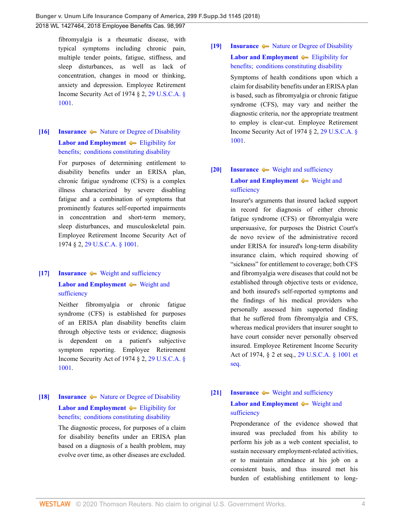fibromyalgia is a rheumatic disease, with typical symptoms including chronic pain, multiple tender points, fatigue, stiffness, and sleep disturbances, as well as lack of concentration, changes in mood or thinking, anxiety and depression. Employee Retirement Income Security Act of 1974 § 2, [29 U.S.C.A. §](http://www.westlaw.com/Link/Document/FullText?findType=L&pubNum=1000546&cite=29USCAS1001&originatingDoc=I264d33a02e8211e888d5f23feb60b681&refType=LQ&originationContext=document&vr=3.0&rs=cblt1.0&transitionType=DocumentItem&contextData=(sc.UserEnteredCitation)) [1001](http://www.westlaw.com/Link/Document/FullText?findType=L&pubNum=1000546&cite=29USCAS1001&originatingDoc=I264d33a02e8211e888d5f23feb60b681&refType=LQ&originationContext=document&vr=3.0&rs=cblt1.0&transitionType=DocumentItem&contextData=(sc.UserEnteredCitation)).

# <span id="page-3-1"></span>**[\[16\]](#page-11-5) [Insurance](http://www.westlaw.com/Browse/Home/KeyNumber/217/View.html?docGuid=I264d33a02e8211e888d5f23feb60b681&originationContext=document&vr=3.0&rs=cblt1.0&transitionType=DocumentItem&contextData=(sc.UserEnteredCitation))**  $\blacklozenge$  **[Nature or Degree of Disability](http://www.westlaw.com/Browse/Home/KeyNumber/217k2553/View.html?docGuid=I264d33a02e8211e888d5f23feb60b681&originationContext=document&vr=3.0&rs=cblt1.0&transitionType=DocumentItem&contextData=(sc.UserEnteredCitation)) [Labor and Employment](http://www.westlaw.com/Browse/Home/KeyNumber/231H/View.html?docGuid=I264d33a02e8211e888d5f23feb60b681&originationContext=document&vr=3.0&rs=cblt1.0&transitionType=DocumentItem&contextData=(sc.UserEnteredCitation))**  $\blacklozenge$  [Eligibility for](http://www.westlaw.com/Browse/Home/KeyNumber/231Hk572/View.html?docGuid=I264d33a02e8211e888d5f23feb60b681&originationContext=document&vr=3.0&rs=cblt1.0&transitionType=DocumentItem&contextData=(sc.UserEnteredCitation)) [benefits;  conditions constituting disability](http://www.westlaw.com/Browse/Home/KeyNumber/231Hk572/View.html?docGuid=I264d33a02e8211e888d5f23feb60b681&originationContext=document&vr=3.0&rs=cblt1.0&transitionType=DocumentItem&contextData=(sc.UserEnteredCitation))

For purposes of determining entitlement to disability benefits under an ERISA plan, chronic fatigue syndrome (CFS) is a complex illness characterized by severe disabling fatigue and a combination of symptoms that prominently features self-reported impairments in concentration and short-term memory, sleep disturbances, and musculoskeletal pain. Employee Retirement Income Security Act of 1974 § 2, [29 U.S.C.A. § 1001.](http://www.westlaw.com/Link/Document/FullText?findType=L&pubNum=1000546&cite=29USCAS1001&originatingDoc=I264d33a02e8211e888d5f23feb60b681&refType=LQ&originationContext=document&vr=3.0&rs=cblt1.0&transitionType=DocumentItem&contextData=(sc.UserEnteredCitation))

# <span id="page-3-2"></span>**[\[17\]](#page-11-6) [Insurance](http://www.westlaw.com/Browse/Home/KeyNumber/217/View.html?docGuid=I264d33a02e8211e888d5f23feb60b681&originationContext=document&vr=3.0&rs=cblt1.0&transitionType=DocumentItem&contextData=(sc.UserEnteredCitation))**  $\blacktriangleright$  [Weight and sufficiency](http://www.westlaw.com/Browse/Home/KeyNumber/217k2578/View.html?docGuid=I264d33a02e8211e888d5f23feb60b681&originationContext=document&vr=3.0&rs=cblt1.0&transitionType=DocumentItem&contextData=(sc.UserEnteredCitation)) **[Labor and Employment](http://www.westlaw.com/Browse/Home/KeyNumber/231H/View.html?docGuid=I264d33a02e8211e888d5f23feb60b681&originationContext=document&vr=3.0&rs=cblt1.0&transitionType=DocumentItem&contextData=(sc.UserEnteredCitation))**  $\blacklozenge$  [Weight and](http://www.westlaw.com/Browse/Home/KeyNumber/231Hk629(2)/View.html?docGuid=I264d33a02e8211e888d5f23feb60b681&originationContext=document&vr=3.0&rs=cblt1.0&transitionType=DocumentItem&contextData=(sc.UserEnteredCitation))

# [sufficiency](http://www.westlaw.com/Browse/Home/KeyNumber/231Hk629(2)/View.html?docGuid=I264d33a02e8211e888d5f23feb60b681&originationContext=document&vr=3.0&rs=cblt1.0&transitionType=DocumentItem&contextData=(sc.UserEnteredCitation))

Neither fibromyalgia or chronic fatigue syndrome (CFS) is established for purposes of an ERISA plan disability benefits claim through objective tests or evidence; diagnosis is dependent on a patient's subjective symptom reporting. Employee Retirement Income Security Act of 1974 § 2, [29 U.S.C.A. §](http://www.westlaw.com/Link/Document/FullText?findType=L&pubNum=1000546&cite=29USCAS1001&originatingDoc=I264d33a02e8211e888d5f23feb60b681&refType=LQ&originationContext=document&vr=3.0&rs=cblt1.0&transitionType=DocumentItem&contextData=(sc.UserEnteredCitation)) [1001](http://www.westlaw.com/Link/Document/FullText?findType=L&pubNum=1000546&cite=29USCAS1001&originatingDoc=I264d33a02e8211e888d5f23feb60b681&refType=LQ&originationContext=document&vr=3.0&rs=cblt1.0&transitionType=DocumentItem&contextData=(sc.UserEnteredCitation)).

# <span id="page-3-3"></span>**[\[18\]](#page-11-7) [Insurance](http://www.westlaw.com/Browse/Home/KeyNumber/217/View.html?docGuid=I264d33a02e8211e888d5f23feb60b681&originationContext=document&vr=3.0&rs=cblt1.0&transitionType=DocumentItem&contextData=(sc.UserEnteredCitation))**  $\blacklozenge$  **[Nature or Degree of Disability](http://www.westlaw.com/Browse/Home/KeyNumber/217k2553/View.html?docGuid=I264d33a02e8211e888d5f23feb60b681&originationContext=document&vr=3.0&rs=cblt1.0&transitionType=DocumentItem&contextData=(sc.UserEnteredCitation)) [Labor and Employment](http://www.westlaw.com/Browse/Home/KeyNumber/231H/View.html?docGuid=I264d33a02e8211e888d5f23feb60b681&originationContext=document&vr=3.0&rs=cblt1.0&transitionType=DocumentItem&contextData=(sc.UserEnteredCitation))**  $\blacklozenge$  [Eligibility for](http://www.westlaw.com/Browse/Home/KeyNumber/231Hk572/View.html?docGuid=I264d33a02e8211e888d5f23feb60b681&originationContext=document&vr=3.0&rs=cblt1.0&transitionType=DocumentItem&contextData=(sc.UserEnteredCitation)) [benefits;  conditions constituting disability](http://www.westlaw.com/Browse/Home/KeyNumber/231Hk572/View.html?docGuid=I264d33a02e8211e888d5f23feb60b681&originationContext=document&vr=3.0&rs=cblt1.0&transitionType=DocumentItem&contextData=(sc.UserEnteredCitation))

The diagnostic process, for purposes of a claim for disability benefits under an ERISA plan based on a diagnosis of a health problem, may evolve over time, as other diseases are excluded.

# <span id="page-3-4"></span>**[\[19\]](#page-11-8) [Insurance](http://www.westlaw.com/Browse/Home/KeyNumber/217/View.html?docGuid=I264d33a02e8211e888d5f23feb60b681&originationContext=document&vr=3.0&rs=cblt1.0&transitionType=DocumentItem&contextData=(sc.UserEnteredCitation))**  $\blacklozenge$  **[Nature or Degree of Disability](http://www.westlaw.com/Browse/Home/KeyNumber/217k2553/View.html?docGuid=I264d33a02e8211e888d5f23feb60b681&originationContext=document&vr=3.0&rs=cblt1.0&transitionType=DocumentItem&contextData=(sc.UserEnteredCitation)) [Labor and Employment](http://www.westlaw.com/Browse/Home/KeyNumber/231H/View.html?docGuid=I264d33a02e8211e888d5f23feb60b681&originationContext=document&vr=3.0&rs=cblt1.0&transitionType=DocumentItem&contextData=(sc.UserEnteredCitation))**  $\blacklozenge$  [Eligibility for](http://www.westlaw.com/Browse/Home/KeyNumber/231Hk572/View.html?docGuid=I264d33a02e8211e888d5f23feb60b681&originationContext=document&vr=3.0&rs=cblt1.0&transitionType=DocumentItem&contextData=(sc.UserEnteredCitation)) [benefits;  conditions constituting disability](http://www.westlaw.com/Browse/Home/KeyNumber/231Hk572/View.html?docGuid=I264d33a02e8211e888d5f23feb60b681&originationContext=document&vr=3.0&rs=cblt1.0&transitionType=DocumentItem&contextData=(sc.UserEnteredCitation))

Symptoms of health conditions upon which a claim for disability benefits under an ERISA plan is based, such as fibromyalgia or chronic fatigue syndrome (CFS), may vary and neither the diagnostic criteria, nor the appropriate treatment to employ is clear-cut. Employee Retirement Income Security Act of 1974 § 2, [29 U.S.C.A. §](http://www.westlaw.com/Link/Document/FullText?findType=L&pubNum=1000546&cite=29USCAS1001&originatingDoc=I264d33a02e8211e888d5f23feb60b681&refType=LQ&originationContext=document&vr=3.0&rs=cblt1.0&transitionType=DocumentItem&contextData=(sc.UserEnteredCitation)) [1001.](http://www.westlaw.com/Link/Document/FullText?findType=L&pubNum=1000546&cite=29USCAS1001&originatingDoc=I264d33a02e8211e888d5f23feb60b681&refType=LQ&originationContext=document&vr=3.0&rs=cblt1.0&transitionType=DocumentItem&contextData=(sc.UserEnteredCitation))

# <span id="page-3-5"></span>**[\[20\]](#page-11-9) [Insurance](http://www.westlaw.com/Browse/Home/KeyNumber/217/View.html?docGuid=I264d33a02e8211e888d5f23feb60b681&originationContext=document&vr=3.0&rs=cblt1.0&transitionType=DocumentItem&contextData=(sc.UserEnteredCitation))**  $\blacktriangleright$  [Weight and sufficiency](http://www.westlaw.com/Browse/Home/KeyNumber/217k2578/View.html?docGuid=I264d33a02e8211e888d5f23feb60b681&originationContext=document&vr=3.0&rs=cblt1.0&transitionType=DocumentItem&contextData=(sc.UserEnteredCitation)) **[Labor and Employment](http://www.westlaw.com/Browse/Home/KeyNumber/231H/View.html?docGuid=I264d33a02e8211e888d5f23feb60b681&originationContext=document&vr=3.0&rs=cblt1.0&transitionType=DocumentItem&contextData=(sc.UserEnteredCitation))**  $\rightarrow$  [Weight and](http://www.westlaw.com/Browse/Home/KeyNumber/231Hk629(2)/View.html?docGuid=I264d33a02e8211e888d5f23feb60b681&originationContext=document&vr=3.0&rs=cblt1.0&transitionType=DocumentItem&contextData=(sc.UserEnteredCitation)) [sufficiency](http://www.westlaw.com/Browse/Home/KeyNumber/231Hk629(2)/View.html?docGuid=I264d33a02e8211e888d5f23feb60b681&originationContext=document&vr=3.0&rs=cblt1.0&transitionType=DocumentItem&contextData=(sc.UserEnteredCitation))

Insurer's arguments that insured lacked support in record for diagnosis of either chronic fatigue syndrome (CFS) or fibromyalgia were unpersuasive, for purposes the District Court's de novo review of the administrative record under ERISA for insured's long-term disability insurance claim, which required showing of "sickness" for entitlement to coverage; both CFS and fibromyalgia were diseases that could not be established through objective tests or evidence, and both insured's self-reported symptoms and the findings of his medical providers who personally assessed him supported finding that he suffered from fibromyalgia and CFS, whereas medical providers that insurer sought to have court consider never personally observed insured. Employee Retirement Income Security Act of 1974, § 2 et seq., [29 U.S.C.A. § 1001 et](http://www.westlaw.com/Link/Document/FullText?findType=L&pubNum=1000546&cite=29USCAS1001&originatingDoc=I264d33a02e8211e888d5f23feb60b681&refType=LQ&originationContext=document&vr=3.0&rs=cblt1.0&transitionType=DocumentItem&contextData=(sc.UserEnteredCitation)) [seq.](http://www.westlaw.com/Link/Document/FullText?findType=L&pubNum=1000546&cite=29USCAS1001&originatingDoc=I264d33a02e8211e888d5f23feb60b681&refType=LQ&originationContext=document&vr=3.0&rs=cblt1.0&transitionType=DocumentItem&contextData=(sc.UserEnteredCitation))

# <span id="page-3-0"></span>**[\[21\]](#page-11-10) [Insurance](http://www.westlaw.com/Browse/Home/KeyNumber/217/View.html?docGuid=I264d33a02e8211e888d5f23feb60b681&originationContext=document&vr=3.0&rs=cblt1.0&transitionType=DocumentItem&contextData=(sc.UserEnteredCitation))**  $\blacklozenge$  **[Weight and sufficiency](http://www.westlaw.com/Browse/Home/KeyNumber/217k2578/View.html?docGuid=I264d33a02e8211e888d5f23feb60b681&originationContext=document&vr=3.0&rs=cblt1.0&transitionType=DocumentItem&contextData=(sc.UserEnteredCitation)) [Labor and Employment](http://www.westlaw.com/Browse/Home/KeyNumber/231H/View.html?docGuid=I264d33a02e8211e888d5f23feb60b681&originationContext=document&vr=3.0&rs=cblt1.0&transitionType=DocumentItem&contextData=(sc.UserEnteredCitation))**  $\blacklozenge$  [Weight and](http://www.westlaw.com/Browse/Home/KeyNumber/231Hk629(2)/View.html?docGuid=I264d33a02e8211e888d5f23feb60b681&originationContext=document&vr=3.0&rs=cblt1.0&transitionType=DocumentItem&contextData=(sc.UserEnteredCitation)) [sufficiency](http://www.westlaw.com/Browse/Home/KeyNumber/231Hk629(2)/View.html?docGuid=I264d33a02e8211e888d5f23feb60b681&originationContext=document&vr=3.0&rs=cblt1.0&transitionType=DocumentItem&contextData=(sc.UserEnteredCitation))

Preponderance of the evidence showed that insured was precluded from his ability to perform his job as a web content specialist, to sustain necessary employment-related activities, or to maintain attendance at his job on a consistent basis, and thus insured met his burden of establishing entitlement to long-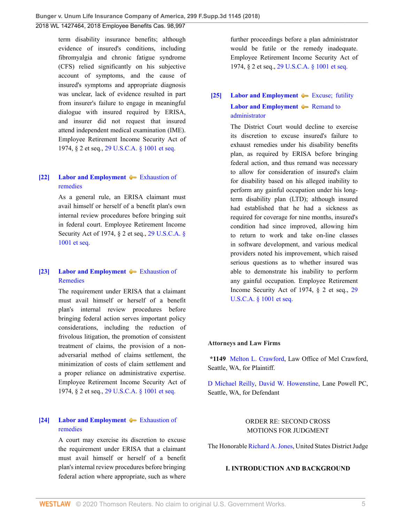term disability insurance benefits; although evidence of insured's conditions, including fibromyalgia and chronic fatigue syndrome (CFS) relied significantly on his subjective account of symptoms, and the cause of insured's symptoms and appropriate diagnosis was unclear, lack of evidence resulted in part from insurer's failure to engage in meaningful dialogue with insured required by ERISA, and insurer did not request that insured attend independent medical examination (IME). Employee Retirement Income Security Act of 1974, § 2 et seq., [29 U.S.C.A. § 1001 et seq.](http://www.westlaw.com/Link/Document/FullText?findType=L&pubNum=1000546&cite=29USCAS1001&originatingDoc=I264d33a02e8211e888d5f23feb60b681&refType=LQ&originationContext=document&vr=3.0&rs=cblt1.0&transitionType=DocumentItem&contextData=(sc.UserEnteredCitation))

#### <span id="page-4-1"></span>**[\[22\]](#page-14-0) [Labor and Employment](http://www.westlaw.com/Browse/Home/KeyNumber/231H/View.html?docGuid=I264d33a02e8211e888d5f23feb60b681&originationContext=document&vr=3.0&rs=cblt1.0&transitionType=DocumentItem&contextData=(sc.UserEnteredCitation))**  $\blacklozenge$  **[Exhaustion of](http://www.westlaw.com/Browse/Home/KeyNumber/231Hk635/View.html?docGuid=I264d33a02e8211e888d5f23feb60b681&originationContext=document&vr=3.0&rs=cblt1.0&transitionType=DocumentItem&contextData=(sc.UserEnteredCitation))** [remedies](http://www.westlaw.com/Browse/Home/KeyNumber/231Hk635/View.html?docGuid=I264d33a02e8211e888d5f23feb60b681&originationContext=document&vr=3.0&rs=cblt1.0&transitionType=DocumentItem&contextData=(sc.UserEnteredCitation))

As a general rule, an ERISA claimant must avail himself or herself of a benefit plan's own internal review procedures before bringing suit in federal court. Employee Retirement Income Security Act of 1974, § 2 et seq., [29 U.S.C.A. §](http://www.westlaw.com/Link/Document/FullText?findType=L&pubNum=1000546&cite=29USCAS1001&originatingDoc=I264d33a02e8211e888d5f23feb60b681&refType=LQ&originationContext=document&vr=3.0&rs=cblt1.0&transitionType=DocumentItem&contextData=(sc.UserEnteredCitation)) [1001 et seq.](http://www.westlaw.com/Link/Document/FullText?findType=L&pubNum=1000546&cite=29USCAS1001&originatingDoc=I264d33a02e8211e888d5f23feb60b681&refType=LQ&originationContext=document&vr=3.0&rs=cblt1.0&transitionType=DocumentItem&contextData=(sc.UserEnteredCitation))

## <span id="page-4-2"></span>**[\[23\]](#page-14-1) [Labor and Employment](http://www.westlaw.com/Browse/Home/KeyNumber/231H/View.html?docGuid=I264d33a02e8211e888d5f23feb60b681&originationContext=document&vr=3.0&rs=cblt1.0&transitionType=DocumentItem&contextData=(sc.UserEnteredCitation))**  $\blacktriangleright$  [Exhaustion of](http://www.westlaw.com/Browse/Home/KeyNumber/231Hk681/View.html?docGuid=I264d33a02e8211e888d5f23feb60b681&originationContext=document&vr=3.0&rs=cblt1.0&transitionType=DocumentItem&contextData=(sc.UserEnteredCitation)) [Remedies](http://www.westlaw.com/Browse/Home/KeyNumber/231Hk681/View.html?docGuid=I264d33a02e8211e888d5f23feb60b681&originationContext=document&vr=3.0&rs=cblt1.0&transitionType=DocumentItem&contextData=(sc.UserEnteredCitation))

The requirement under ERISA that a claimant must avail himself or herself of a benefit plan's internal review procedures before bringing federal action serves important policy considerations, including the reduction of frivolous litigation, the promotion of consistent treatment of claims, the provision of a nonadversarial method of claims settlement, the minimization of costs of claim settlement and a proper reliance on administrative expertise. Employee Retirement Income Security Act of 1974, § 2 et seq., [29 U.S.C.A. § 1001 et seq.](http://www.westlaw.com/Link/Document/FullText?findType=L&pubNum=1000546&cite=29USCAS1001&originatingDoc=I264d33a02e8211e888d5f23feb60b681&refType=LQ&originationContext=document&vr=3.0&rs=cblt1.0&transitionType=DocumentItem&contextData=(sc.UserEnteredCitation))

### <span id="page-4-3"></span>**[\[24\]](#page-14-2) [Labor and Employment](http://www.westlaw.com/Browse/Home/KeyNumber/231H/View.html?docGuid=I264d33a02e8211e888d5f23feb60b681&originationContext=document&vr=3.0&rs=cblt1.0&transitionType=DocumentItem&contextData=(sc.UserEnteredCitation))**  $\blacklozenge$  **[Exhaustion of](http://www.westlaw.com/Browse/Home/KeyNumber/231Hk635/View.html?docGuid=I264d33a02e8211e888d5f23feb60b681&originationContext=document&vr=3.0&rs=cblt1.0&transitionType=DocumentItem&contextData=(sc.UserEnteredCitation))** [remedies](http://www.westlaw.com/Browse/Home/KeyNumber/231Hk635/View.html?docGuid=I264d33a02e8211e888d5f23feb60b681&originationContext=document&vr=3.0&rs=cblt1.0&transitionType=DocumentItem&contextData=(sc.UserEnteredCitation))

A court may exercise its discretion to excuse the requirement under ERISA that a claimant must avail himself or herself of a benefit plan's internal review procedures before bringing federal action where appropriate, such as where

further proceedings before a plan administrator would be futile or the remedy inadequate. Employee Retirement Income Security Act of 1974, § 2 et seq., [29 U.S.C.A. § 1001 et seq.](http://www.westlaw.com/Link/Document/FullText?findType=L&pubNum=1000546&cite=29USCAS1001&originatingDoc=I264d33a02e8211e888d5f23feb60b681&refType=LQ&originationContext=document&vr=3.0&rs=cblt1.0&transitionType=DocumentItem&contextData=(sc.UserEnteredCitation))

# <span id="page-4-0"></span>**[\[25\]](#page-14-3) [Labor and Employment](http://www.westlaw.com/Browse/Home/KeyNumber/231H/View.html?docGuid=I264d33a02e8211e888d5f23feb60b681&originationContext=document&vr=3.0&rs=cblt1.0&transitionType=DocumentItem&contextData=(sc.UserEnteredCitation))**  $\blacktriangleright$  Excuse; futility **[Labor and Employment](http://www.westlaw.com/Browse/Home/KeyNumber/231H/View.html?docGuid=I264d33a02e8211e888d5f23feb60b681&originationContext=document&vr=3.0&rs=cblt1.0&transitionType=DocumentItem&contextData=(sc.UserEnteredCitation))**  $\blacklozenge$  [Remand to](http://www.westlaw.com/Browse/Home/KeyNumber/231Hk704/View.html?docGuid=I264d33a02e8211e888d5f23feb60b681&originationContext=document&vr=3.0&rs=cblt1.0&transitionType=DocumentItem&contextData=(sc.UserEnteredCitation)) [administrator](http://www.westlaw.com/Browse/Home/KeyNumber/231Hk704/View.html?docGuid=I264d33a02e8211e888d5f23feb60b681&originationContext=document&vr=3.0&rs=cblt1.0&transitionType=DocumentItem&contextData=(sc.UserEnteredCitation))

The District Court would decline to exercise its discretion to excuse insured's failure to exhaust remedies under his disability benefits plan, as required by ERISA before bringing federal action, and thus remand was necessary to allow for consideration of insured's claim for disability based on his alleged inability to perform any gainful occupation under his longterm disability plan (LTD); although insured had established that he had a sickness as required for coverage for nine months, insured's condition had since improved, allowing him to return to work and take on-line classes in software development, and various medical providers noted his improvement, which raised serious questions as to whether insured was able to demonstrate his inability to perform any gainful occupation. Employee Retirement Income Security Act of 1974, § 2 et seq., [29](http://www.westlaw.com/Link/Document/FullText?findType=L&pubNum=1000546&cite=29USCAS1001&originatingDoc=I264d33a02e8211e888d5f23feb60b681&refType=LQ&originationContext=document&vr=3.0&rs=cblt1.0&transitionType=DocumentItem&contextData=(sc.UserEnteredCitation)) [U.S.C.A. § 1001 et seq.](http://www.westlaw.com/Link/Document/FullText?findType=L&pubNum=1000546&cite=29USCAS1001&originatingDoc=I264d33a02e8211e888d5f23feb60b681&refType=LQ&originationContext=document&vr=3.0&rs=cblt1.0&transitionType=DocumentItem&contextData=(sc.UserEnteredCitation))

#### **Attorneys and Law Firms**

**\*1149** [Melton L. Crawford,](http://www.westlaw.com/Link/Document/FullText?findType=h&pubNum=176284&cite=0168090501&originatingDoc=I264d33a02e8211e888d5f23feb60b681&refType=RQ&originationContext=document&vr=3.0&rs=cblt1.0&transitionType=DocumentItem&contextData=(sc.UserEnteredCitation)) Law Office of Mel Crawford, Seattle, WA, for Plaintiff.

[D Michael Reilly](http://www.westlaw.com/Link/Document/FullText?findType=h&pubNum=176284&cite=0190733601&originatingDoc=I264d33a02e8211e888d5f23feb60b681&refType=RQ&originationContext=document&vr=3.0&rs=cblt1.0&transitionType=DocumentItem&contextData=(sc.UserEnteredCitation)), [David W. Howenstine,](http://www.westlaw.com/Link/Document/FullText?findType=h&pubNum=176284&cite=0437767901&originatingDoc=I264d33a02e8211e888d5f23feb60b681&refType=RQ&originationContext=document&vr=3.0&rs=cblt1.0&transitionType=DocumentItem&contextData=(sc.UserEnteredCitation)) Lane Powell PC, Seattle, WA, for Defendant

## ORDER RE: SECOND CROSS MOTIONS FOR JUDGMENT

The Honorable [Richard A. Jones,](http://www.westlaw.com/Link/Document/FullText?findType=h&pubNum=176284&cite=0174547201&originatingDoc=I264d33a02e8211e888d5f23feb60b681&refType=RQ&originationContext=document&vr=3.0&rs=cblt1.0&transitionType=DocumentItem&contextData=(sc.UserEnteredCitation)) United States District Judge

#### **I. INTRODUCTION AND BACKGROUND**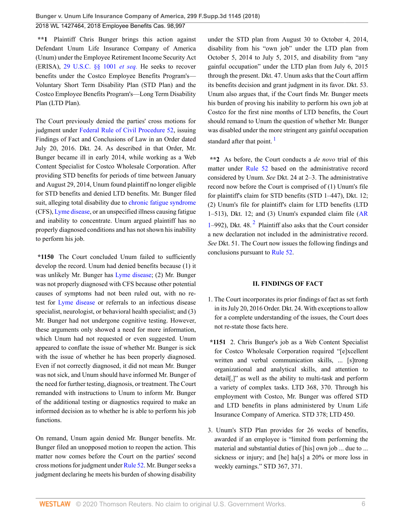**\*\*1** Plaintiff Chris Bunger brings this action against Defendant Unum Life Insurance Company of America (Unum) under the Employee Retirement Income Security Act (ERISA), [29 U.S.C. §§ 1001](http://www.westlaw.com/Link/Document/FullText?findType=L&pubNum=1000546&cite=29USCAS1001&originatingDoc=I264d33a02e8211e888d5f23feb60b681&refType=LQ&originationContext=document&vr=3.0&rs=cblt1.0&transitionType=DocumentItem&contextData=(sc.UserEnteredCitation)) *et seq.* He seeks to recover benefits under the Costco Employee Benefits Program's— Voluntary Short Term Disability Plan (STD Plan) and the Costco Employee Benefits Program's—Long Term Disability Plan (LTD Plan).

The Court previously denied the parties' cross motions for judgment under [Federal Rule of Civil Procedure 52](http://www.westlaw.com/Link/Document/FullText?findType=L&pubNum=1000600&cite=USFRCPR52&originatingDoc=I264d33a02e8211e888d5f23feb60b681&refType=LQ&originationContext=document&vr=3.0&rs=cblt1.0&transitionType=DocumentItem&contextData=(sc.UserEnteredCitation)), issuing Findings of Fact and Conclusions of Law in an Order dated July 20, 2016. Dkt. 24. As described in that Order, Mr. Bunger became ill in early 2014, while working as a Web Content Specialist for Costco Wholesale Corporation. After providing STD benefits for periods of time between January and August 29, 2014, Unum found plaintiff no longer eligible for STD benefits and denied LTD benefits. Mr. Bunger filed suit, alleging total disability due to [chronic fatigue syndrome](http://www.westlaw.com/Link/Document/FullText?entityType=disease&entityId=Ic755df1d475411db9765f9243f53508a&originationContext=document&transitionType=DocumentItem&contextData=(sc.Default)&vr=3.0&rs=cblt1.0) (CFS), [Lyme disease](http://www.westlaw.com/Link/Document/FullText?entityType=disease&entityId=Ib21fe02a475411db9765f9243f53508a&originationContext=document&transitionType=DocumentItem&contextData=(sc.Default)&vr=3.0&rs=cblt1.0), or an unspecified illness causing fatigue and inability to concentrate. Unum argued plaintiff has no properly diagnosed conditions and has not shown his inability to perform his job.

**\*1150** The Court concluded Unum failed to sufficiently develop the record. Unum had denied benefits because (1) it was unlikely Mr. Bunger has [Lyme disease;](http://www.westlaw.com/Link/Document/FullText?entityType=disease&entityId=Ib21fe02a475411db9765f9243f53508a&originationContext=document&transitionType=DocumentItem&contextData=(sc.Default)&vr=3.0&rs=cblt1.0) (2) Mr. Bunger was not properly diagnosed with CFS because other potential causes of symptoms had not been ruled out, with no retest for [Lyme disease](http://www.westlaw.com/Link/Document/FullText?entityType=disease&entityId=Ib21fe02a475411db9765f9243f53508a&originationContext=document&transitionType=DocumentItem&contextData=(sc.Default)&vr=3.0&rs=cblt1.0) or referrals to an infectious disease specialist, neurologist, or behavioral health specialist; and (3) Mr. Bunger had not undergone cognitive testing. However, these arguments only showed a need for more information, which Unum had not requested or even suggested. Unum appeared to conflate the issue of whether Mr. Bunger is sick with the issue of whether he has been properly diagnosed. Even if not correctly diagnosed, it did not mean Mr. Bunger was not sick, and Unum should have informed Mr. Bunger of the need for further testing, diagnosis, or treatment. The Court remanded with instructions to Unum to inform Mr. Bunger of the additional testing or diagnostics required to make an informed decision as to whether he is able to perform his job functions.

On remand, Unum again denied Mr. Bunger benefits. Mr. Bunger filed an unopposed motion to reopen the action. This matter now comes before the Court on the parties' second cross motions for judgment under [Rule 52](http://www.westlaw.com/Link/Document/FullText?findType=L&pubNum=1000600&cite=USFRCPR52&originatingDoc=I264d33a02e8211e888d5f23feb60b681&refType=LQ&originationContext=document&vr=3.0&rs=cblt1.0&transitionType=DocumentItem&contextData=(sc.UserEnteredCitation)). Mr. Bunger seeks a judgment declaring he meets his burden of showing disability under the STD plan from August 30 to October 4, 2014, disability from his "own job" under the LTD plan from October 5, 2014 to July 5, 2015, and disability from "any gainful occupation" under the LTD plan from July 6, 2015 through the present. Dkt. 47. Unum asks that the Court affirm its benefits decision and grant judgment in its favor. Dkt. 53. Unum also argues that, if the Court finds Mr. Bunger meets his burden of proving his inability to perform his own job at Costco for the first nine months of LTD benefits, the Court should remand to Unum the question of whether Mr. Bunger was disabled under the more stringent any gainful occupation standard after that point.  $\frac{1}{1}$  $\frac{1}{1}$  $\frac{1}{1}$ 

<span id="page-5-0"></span>**\*\*2** As before, the Court conducts a *de novo* trial of this matter under [Rule 52](http://www.westlaw.com/Link/Document/FullText?findType=L&pubNum=1000600&cite=USFRCPR52&originatingDoc=I264d33a02e8211e888d5f23feb60b681&refType=LQ&originationContext=document&vr=3.0&rs=cblt1.0&transitionType=DocumentItem&contextData=(sc.UserEnteredCitation)) based on the administrative record considered by Unum. *See* Dkt. 24 at 2–3. The administrative record now before the Court is comprised of (1) Unum's file for plaintiff's claim for STD benefits (STD 1–447), Dkt. 12; (2) Unum's file for plaintiff's claim for LTD benefits (LTD 1–513), Dkt. 12; and (3) Unum's expanded claim file [\(AR](http://www.westlaw.com/Link/Document/FullText?findType=L&pubNum=1003981&cite=WARSCADMAR1&originatingDoc=I264d33a02e8211e888d5f23feb60b681&refType=LQ&originationContext=document&vr=3.0&rs=cblt1.0&transitionType=DocumentItem&contextData=(sc.UserEnteredCitation))  $1-992$  $1-992$  $1-992$ ), Dkt. 48.<sup>2</sup> Plaintiff also asks that the Court consider a new declaration not included in the administrative record. *See* Dkt. 51. The Court now issues the following findings and conclusions pursuant to [Rule 52](http://www.westlaw.com/Link/Document/FullText?findType=L&pubNum=1000600&cite=USFRCPR52&originatingDoc=I264d33a02e8211e888d5f23feb60b681&refType=LQ&originationContext=document&vr=3.0&rs=cblt1.0&transitionType=DocumentItem&contextData=(sc.UserEnteredCitation)).

#### <span id="page-5-1"></span>**II. FINDINGS OF FACT**

- 1. The Court incorporates its prior findings of fact as set forth in its July 20, 2016 Order. Dkt. 24. With exceptions to allow for a complete understanding of the issues, the Court does not re-state those facts here.
- **\*1151** 2. Chris Bunger's job as a Web Content Specialist for Costco Wholesale Corporation required "[e]xcellent written and verbal communication skills, ... [s]trong organizational and analytical skills, and attention to detail[,]" as well as the ability to multi-task and perform a variety of complex tasks. LTD 368, 370. Through his employment with Costco, Mr. Bunger was offered STD and LTD benefits in plans administered by Unum Life Insurance Company of America. STD 378; LTD 450.
- 3. Unum's STD Plan provides for 26 weeks of benefits, awarded if an employee is "limited from performing the material and substantial duties of [his] own job ... due to ... sickness or injury; and [he] ha[s] a 20% or more loss in weekly earnings." STD 367, 371.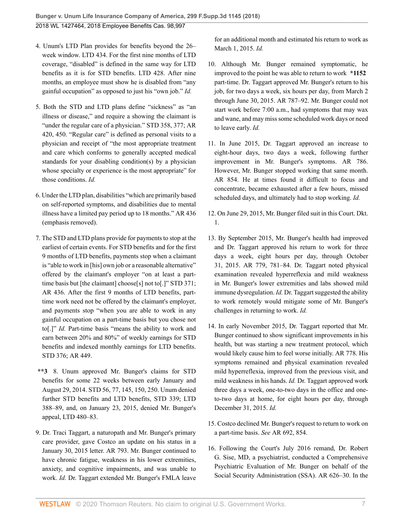- 4. Unum's LTD Plan provides for benefits beyond the 26– week window. LTD 434. For the first nine months of LTD coverage, "disabled" is defined in the same way for LTD benefits as it is for STD benefits. LTD 428. After nine months, an employee must show he is disabled from "any gainful occupation" as opposed to just his "own job." *Id.*
- 5. Both the STD and LTD plans define "sickness" as "an illness or disease," and require a showing the claimant is "under the regular care of a physician." STD 358, 377; AR 420, 450. "Regular care" is defined as personal visits to a physician and receipt of "the most appropriate treatment and care which conforms to generally accepted medical standards for your disabling condition(s) by a physician whose specialty or experience is the most appropriate" for those conditions. *Id.*
- 6. Under the LTD plan, disabilities "which are primarily based on self-reported symptoms, and disabilities due to mental illness have a limited pay period up to 18 months." AR 436 (emphasis removed).
- 7. The STD and LTD plans provide for payments to stop at the earliest of certain events. For STD benefits and for the first 9 months of LTD benefits, payments stop when a claimant is "able to work in [his] own job or a reasonable alternative" offered by the claimant's employer "on at least a parttime basis but [the claimant] choose[s] not to[.]" STD 371; AR 436. After the first 9 months of LTD benefits, parttime work need not be offered by the claimant's employer, and payments stop "when you are able to work in any gainful occupation on a part-time basis but you chose not to[.]" *Id.* Part-time basis "means the ability to work and earn between 20% and 80%" of weekly earnings for STD benefits and indexed monthly earnings for LTD benefits. STD 376; AR 449.
- **\*\*3** 8. Unum approved Mr. Bunger's claims for STD benefits for some 22 weeks between early January and August 29, 2014. STD 56, 77, 145, 150, 250. Unum denied further STD benefits and LTD benefits, STD 339; LTD 388–89, and, on January 23, 2015, denied Mr. Bunger's appeal, LTD 480–83.
- 9. Dr. Traci Taggart, a naturopath and Mr. Bunger's primary care provider, gave Costco an update on his status in a January 30, 2015 letter. AR 793. Mr. Bunger continued to have chronic fatigue, weakness in his lower extremities, anxiety, and cognitive impairments, and was unable to work. *Id.* Dr. Taggart extended Mr. Bunger's FMLA leave

for an additional month and estimated his return to work as March 1, 2015. *Id.*

- 10. Although Mr. Bunger remained symptomatic, he improved to the point he was able to return to work **\*1152** part-time. Dr. Taggart approved Mr. Bunger's return to his job, for two days a week, six hours per day, from March 2 through June 30, 2015. AR 787–92. Mr. Bunger could not start work before 7:00 a.m., had symptoms that may wax and wane, and may miss some scheduled work days or need to leave early. *Id.*
- 11. In June 2015, Dr. Taggart approved an increase to eight-hour days, two days a week, following further improvement in Mr. Bunger's symptoms. AR 786. However, Mr. Bunger stopped working that same month. AR 854. He at times found it difficult to focus and concentrate, became exhausted after a few hours, missed scheduled days, and ultimately had to stop working. *Id.*
- 12. On June 29, 2015, Mr. Bunger filed suit in this Court. Dkt. 1.
- 13. By September 2015, Mr. Bunger's health had improved and Dr. Taggart approved his return to work for three days a week, eight hours per day, through October 31, 2015. AR 779, 781–84. Dr. Taggart noted physical examination revealed hyperreflexia and mild weakness in Mr. Bunger's lower extremities and labs showed mild immune dysregulation. *Id.* Dr. Taggart suggested the ability to work remotely would mitigate some of Mr. Bunger's challenges in returning to work. *Id.*
- 14. In early November 2015, Dr. Taggart reported that Mr. Bunger continued to show significant improvements in his health, but was starting a new treatment protocol, which would likely cause him to feel worse initially. AR 778. His symptoms remained and physical examination revealed mild hyperreflexia, improved from the previous visit, and mild weakness in his hands. *Id.* Dr. Taggart approved work three days a week, one-to-two days in the office and oneto-two days at home, for eight hours per day, through December 31, 2015. *Id.*
- 15. Costco declined Mr. Bunger's request to return to work on a part-time basis. *See* AR 692, 854.
- 16. Following the Court's July 2016 remand, Dr. Robert G. Sise, MD, a psychiatrist, conducted a Comprehensive Psychiatric Evaluation of Mr. Bunger on behalf of the Social Security Administration (SSA). AR 626–30. In the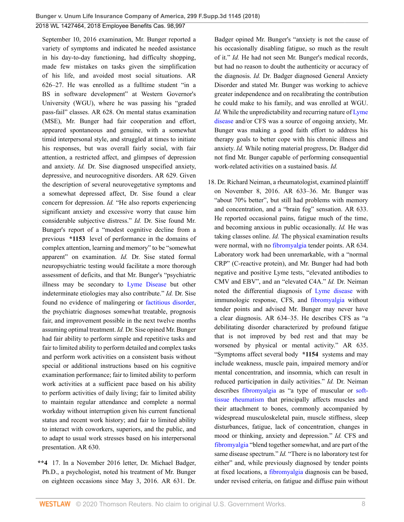September 10, 2016 examination, Mr. Bunger reported a variety of symptoms and indicated he needed assistance in his day-to-day functioning, had difficulty shopping, made few mistakes on tasks given the simplification of his life, and avoided most social situations. AR 626–27. He was enrolled as a fulltime student "in a BS in software development" at Western Governor's University (WGU), where he was passing his "graded pass-fail" classes. AR 628. On mental status examination (MSE), Mr. Bunger had fair cooperation and effort, appeared spontaneous and genuine, with a somewhat timid interpersonal style, and struggled at times to initiate his responses, but was overall fairly social, with fair attention, a restricted affect, and glimpses of depression and anxiety. *Id.* Dr. Sise diagnosed unspecified anxiety, depressive, and neurocognitive disorders. AR 629. Given the description of several neurovegetative symptoms and a somewhat depressed affect, Dr. Sise found a clear concern for depression. *Id.* "He also reports experiencing significant anxiety and excessive worry that cause him considerable subjective distress." *Id.* Dr. Sise found Mr. Bunger's report of a "modest cognitive decline from a previous **\*1153** level of performance in the domains of complex attention, learning and memory" to be "somewhat apparent" on examination. *Id.* Dr. Sise stated formal neuropsychiatric testing would facilitate a more thorough assessment of deficits, and that Mr. Bunger's "psychiatric illness may be secondary to [Lyme Disease](http://www.westlaw.com/Link/Document/FullText?entityType=disease&entityId=Ib21fe02a475411db9765f9243f53508a&originationContext=document&transitionType=DocumentItem&contextData=(sc.Default)&vr=3.0&rs=cblt1.0) but other indeterminate etiologies may also contribute." *Id.* Dr. Sise found no evidence of malingering or [factitious disorder](http://www.westlaw.com/Link/Document/FullText?entityType=disease&entityId=Ib80ff4e9475411db9765f9243f53508a&originationContext=document&transitionType=DocumentItem&contextData=(sc.Default)&vr=3.0&rs=cblt1.0), the psychiatric diagnoses somewhat treatable, prognosis fair, and improvement possible in the next twelve months assuming optimal treatment. *Id.* Dr. Sise opined Mr. Bunger had fair ability to perform simple and repetitive tasks and fair to limited ability to perform detailed and complex tasks and perform work activities on a consistent basis without special or additional instructions based on his cognitive examination performance; fair to limited ability to perform work activities at a sufficient pace based on his ability to perform activities of daily living; fair to limited ability to maintain regular attendance and complete a normal workday without interruption given his current functional status and recent work history; and fair to limited ability to interact with coworkers, superiors, and the public, and to adapt to usual work stresses based on his interpersonal presentation. AR 630.

**\*\*4** 17. In a November 2016 letter, Dr. Michael Badger, Ph.D., a psychologist, noted his treatment of Mr. Bunger on eighteen occasions since May 3, 2016. AR 631. Dr.

Badger opined Mr. Bunger's "anxiety is not the cause of his occasionally disabling fatigue, so much as the result of it." *Id.* He had not seen Mr. Bunger's medical records, but had no reason to doubt the authenticity or accuracy of the diagnosis. *Id.* Dr. Badger diagnosed General Anxiety Disorder and stated Mr. Bunger was working to achieve greater independence and on recalibrating the contribution he could make to his family, and was enrolled at WGU. *Id.* While the unpredictability and recurring nature of [Lyme](http://www.westlaw.com/Link/Document/FullText?entityType=disease&entityId=Ib21fe02a475411db9765f9243f53508a&originationContext=document&transitionType=DocumentItem&contextData=(sc.Default)&vr=3.0&rs=cblt1.0) [disease](http://www.westlaw.com/Link/Document/FullText?entityType=disease&entityId=Ib21fe02a475411db9765f9243f53508a&originationContext=document&transitionType=DocumentItem&contextData=(sc.Default)&vr=3.0&rs=cblt1.0) and/or CFS was a source of ongoing anxiety, Mr. Bunger was making a good faith effort to address his therapy goals to better cope with his chronic illness and anxiety. *Id.* While noting material progress, Dr. Badger did not find Mr. Bunger capable of performing consequential work-related activities on a sustained basis. *Id.*

18. Dr. Richard Neiman, a rheumatologist, examined plaintiff on November 8, 2016. AR 633–36. Mr. Bunger was "about 70% better", but still had problems with memory and concentration, and a "brain fog" sensation. AR 633. He reported occasional pains, fatigue much of the time, and becoming anxious in public occasionally. *Id.* He was taking classes online. *Id.* The physical examination results were normal, with no [fibromyalgia](http://www.westlaw.com/Link/Document/FullText?entityType=disease&entityId=Ic21f0856475411db9765f9243f53508a&originationContext=document&transitionType=DocumentItem&contextData=(sc.Default)&vr=3.0&rs=cblt1.0) tender points. AR 634. Laboratory work had been unremarkable, with a "normal CRP" (C-reactive protein), and Mr. Bunger had had both negative and positive Lyme tests, "elevated antibodies to CMV and EBV", and an "elevated C4A." *Id.* Dr. Neiman noted the differential diagnosis of [Lyme disease](http://www.westlaw.com/Link/Document/FullText?entityType=disease&entityId=Ib21fe02a475411db9765f9243f53508a&originationContext=document&transitionType=DocumentItem&contextData=(sc.Default)&vr=3.0&rs=cblt1.0) with immunologic response, CFS, and [fibromyalgia](http://www.westlaw.com/Link/Document/FullText?entityType=disease&entityId=Ic21f0856475411db9765f9243f53508a&originationContext=document&transitionType=DocumentItem&contextData=(sc.Default)&vr=3.0&rs=cblt1.0) without tender points and advised Mr. Bunger may never have a clear diagnosis. AR 634–35. He describes CFS as "a debilitating disorder characterized by profound fatigue that is not improved by bed rest and that may be worsened by physical or mental activity." AR 635. "Symptoms affect several body **\*1154** systems and may include weakness, muscle pain, impaired memory and/or mental concentration, and insomnia, which can result in reduced participation in daily activities." *Id.* Dr. Neiman describes [fibromyalgia](http://www.westlaw.com/Link/Document/FullText?entityType=disease&entityId=Ic21f0856475411db9765f9243f53508a&originationContext=document&transitionType=DocumentItem&contextData=(sc.Default)&vr=3.0&rs=cblt1.0) as "a type of muscular or [soft](http://www.westlaw.com/Link/Document/FullText?entityType=disease&entityId=Ib4d71166475411db9765f9243f53508a&originationContext=document&transitionType=DocumentItem&contextData=(sc.Default)&vr=3.0&rs=cblt1.0)[tissue rheumatism](http://www.westlaw.com/Link/Document/FullText?entityType=disease&entityId=Ib4d71166475411db9765f9243f53508a&originationContext=document&transitionType=DocumentItem&contextData=(sc.Default)&vr=3.0&rs=cblt1.0) that principally affects muscles and their attachment to bones, commonly accompanied by widespread musculoskeletal pain, muscle stiffness, sleep disturbances, fatigue, lack of concentration, changes in mood or thinking, anxiety and depression." *Id.* CFS and [fibromyalgia](http://www.westlaw.com/Link/Document/FullText?entityType=disease&entityId=Ic21f0856475411db9765f9243f53508a&originationContext=document&transitionType=DocumentItem&contextData=(sc.Default)&vr=3.0&rs=cblt1.0) "blend together somewhat, and are part of the same disease spectrum." *Id.* "There is no laboratory test for either" and, while previously diagnosed by tender points at fixed locations, a [fibromyalgia](http://www.westlaw.com/Link/Document/FullText?entityType=disease&entityId=Ic21f0856475411db9765f9243f53508a&originationContext=document&transitionType=DocumentItem&contextData=(sc.Default)&vr=3.0&rs=cblt1.0) diagnosis can be based, under revised criteria, on fatigue and diffuse pain without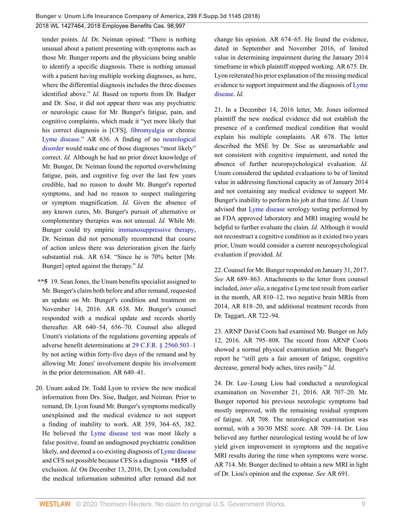tender points. *Id.* Dr. Neiman opined: "There is nothing unusual about a patient presenting with symptoms such as those Mr. Bunger reports and the physicians being unable to identify a specific diagnosis. There is nothing unusual with a patient having multiple working diagnoses, as here, where the differential diagnosis includes the three diseases identified above." *Id.* Based on reports from Dr. Badger and Dr. Sise, it did not appear there was any psychiatric or neurologic cause for Mr. Bunger's fatigue, pain, and cognitive complaints, which made it "yet more likely that his correct diagnosis is [CFS], [fibromyalgia](http://www.westlaw.com/Link/Document/FullText?entityType=disease&entityId=Ic21f0856475411db9765f9243f53508a&originationContext=document&transitionType=DocumentItem&contextData=(sc.Default)&vr=3.0&rs=cblt1.0) or chronic [Lyme disease](http://www.westlaw.com/Link/Document/FullText?entityType=disease&entityId=Ib21fe02a475411db9765f9243f53508a&originationContext=document&transitionType=DocumentItem&contextData=(sc.Default)&vr=3.0&rs=cblt1.0)." AR 636. A finding of no [neurological](http://www.westlaw.com/Link/Document/FullText?entityType=disease&entityId=Ic6c75a40475411db9765f9243f53508a&originationContext=document&transitionType=DocumentItem&contextData=(sc.Default)&vr=3.0&rs=cblt1.0) [disorder](http://www.westlaw.com/Link/Document/FullText?entityType=disease&entityId=Ic6c75a40475411db9765f9243f53508a&originationContext=document&transitionType=DocumentItem&contextData=(sc.Default)&vr=3.0&rs=cblt1.0) would make one of those diagnoses "most likely" correct. *Id.* Although he had no prior direct knowledge of Mr. Bunger, Dr. Neiman found the reported overwhelming fatigue, pain, and cognitive fog over the last few years credible, had no reason to doubt Mr. Bunger's reported symptoms, and had no reason to suspect malingering or symptom magnification. *Id.* Given the absence of any known cures, Mr. Bunger's pursuit of alternative or complementary therapies was not unusual. *Id.* While Mr. Bunger could try empiric [immunosuppressive therapy](http://www.westlaw.com/Link/Document/FullText?entityType=mproc&entityId=Ibf43ada3475411db9765f9243f53508a&originationContext=document&transitionType=DocumentItem&contextData=(sc.Default)&vr=3.0&rs=cblt1.0), Dr. Neiman did not personally recommend that course of action unless there was deterioration given the fairly substantial risk. AR 634. "Since he is 70% better [Mr. Bunger] opted against the therapy." *Id.*

- **\*\*5** 19. Sean Jones, the Unum benefits specialist assigned to Mr. Bunger's claim both before and after remand, requested an update on Mr. Bunger's condition and treatment on November 14, 2016. AR 638. Mr. Bunger's counsel responded with a medical update and records shortly thereafter. AR 640–54, 656–70. Counsel also alleged Unum's violations of the regulations governing appeals of adverse benefit determinations at [29 C.F.R. § 2560.503–1](http://www.westlaw.com/Link/Document/FullText?findType=L&pubNum=1000547&cite=29CFRS2560.503-1&originatingDoc=I264d33a02e8211e888d5f23feb60b681&refType=LQ&originationContext=document&vr=3.0&rs=cblt1.0&transitionType=DocumentItem&contextData=(sc.UserEnteredCitation)) by not acting within forty-five days of the remand and by allowing Mr. Jones' involvement despite his involvement in the prior determination. AR 640–41.
- 20. Unum asked Dr. Todd Lyon to review the new medical information from Drs. Sise, Badger, and Neiman. Prior to remand, Dr. Lyon found Mr. Bunger's symptoms medically unexplained and the medical evidence to not support a finding of inability to work. AR 359, 364–65, 382. He believed the [Lyme disease test](http://www.westlaw.com/Link/Document/FullText?entityType=mproc&entityId=Ib3c4de25475411db9765f9243f53508a&originationContext=document&transitionType=DocumentItem&contextData=(sc.Default)&vr=3.0&rs=cblt1.0) was most likely a false positive, found an undiagnosed psychiatric condition likely, and deemed a co-existing diagnosis of [Lyme disease](http://www.westlaw.com/Link/Document/FullText?entityType=disease&entityId=Ib21fe02a475411db9765f9243f53508a&originationContext=document&transitionType=DocumentItem&contextData=(sc.Default)&vr=3.0&rs=cblt1.0) and CFS not possible because CFS is a diagnosis **\*1155** of exclusion. *Id.* On December 13, 2016, Dr. Lyon concluded the medical information submitted after remand did not

change his opinion. AR 674–65. He found the evidence, dated in September and November 2016, of limited value in determining impairment during the January 2014 timeframe in which plaintiff stopped working. AR 675. Dr. Lyon reiterated his prior explanation of the missing medical evidence to support impairment and the diagnosis of [Lyme](http://www.westlaw.com/Link/Document/FullText?entityType=disease&entityId=Ib21fe02a475411db9765f9243f53508a&originationContext=document&transitionType=DocumentItem&contextData=(sc.Default)&vr=3.0&rs=cblt1.0) [disease.](http://www.westlaw.com/Link/Document/FullText?entityType=disease&entityId=Ib21fe02a475411db9765f9243f53508a&originationContext=document&transitionType=DocumentItem&contextData=(sc.Default)&vr=3.0&rs=cblt1.0) *Id.*

21. In a December 14, 2016 letter, Mr. Jones informed plaintiff the new medical evidence did not establish the presence of a confirmed medical condition that would explain his multiple complaints. AR 678. The letter described the MSE by Dr. Sise as unremarkable and not consistent with cognitive impairment, and noted the absence of further neuropsychological evaluation. *Id.* Unum considered the updated evaluations to be of limited value in addressing functional capacity as of January 2014 and not containing any medical evidence to support Mr. Bunger's inability to perform his job at that time. *Id.* Unum advised that [Lyme disease](http://www.westlaw.com/Link/Document/FullText?entityType=disease&entityId=Ib21fe02a475411db9765f9243f53508a&originationContext=document&transitionType=DocumentItem&contextData=(sc.Default)&vr=3.0&rs=cblt1.0) serology testing performed by an FDA approved laboratory and MRI imaging would be helpful to further evaluate the claim. *Id.* Although it would not reconstruct a cognitive condition as it existed two years prior, Unum would consider a current neuropsychological evaluation if provided. *Id.*

22. Counsel for Mr. Bunger responded on January 31, 2017. *See* AR 689–863. Attachments to the letter from counsel included, *inter alia*, a negative Lyme test result from earlier in the month, AR 810–12, two negative brain MRIs from 2014, AR 818–20, and additional treatment records from Dr. Taggart, AR 722–94.

23. ARNP David Coots had examined Mr. Bunger on July 12, 2016. AR 795–808. The record from ARNP Coots showed a normal physical examination and Mr. Bunger's report he "still gets a fair amount of fatigue, cognitive decrease, general body aches, tires easily." *Id.*

24. Dr. Lee–Loung Liou had conducted a neurological examination on November 21, 2016. AR 707–20. Mr. Bunger reported his previous neurologic symptoms had mostly improved, with the remaining residual symptom of fatigue. AR 708. The neurological examination was normal, with a 30/30 MSE score. AR 709–14. Dr. Liou believed any further neurological testing would be of low yield given improvement in symptoms and the negative MRI results during the time when symptoms were worse. AR 714. Mr. Bunger declined to obtain a new MRI in light of Dr. Liou's opinion and the expense. *See* AR 691.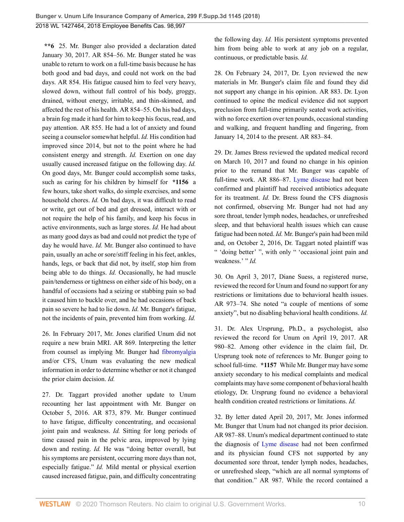**\*\*6** 25. Mr. Bunger also provided a declaration dated January 30, 2017. AR 854–56. Mr. Bunger stated he was unable to return to work on a full-time basis because he has both good and bad days, and could not work on the bad days. AR 854. His fatigue caused him to feel very heavy, slowed down, without full control of his body, groggy, drained, without energy, irritable, and thin-skinned, and affected the rest of his health. AR 854–55. On his bad days, a brain fog made it hard for him to keep his focus, read, and pay attention. AR 855. He had a lot of anxiety and found seeing a counselor somewhat helpful. *Id.* His condition had improved since 2014, but not to the point where he had consistent energy and strength. *Id.* Exertion on one day usually caused increased fatigue on the following day. *Id.* On good days, Mr. Bunger could accomplish some tasks, such as caring for his children by himself for **\*1156** a few hours, take short walks, do simple exercises, and some household chores. *Id.* On bad days, it was difficult to read or write, get out of bed and get dressed, interact with or not require the help of his family, and keep his focus in active environments, such as large stores. *Id.* He had about as many good days as bad and could not predict the type of day he would have. *Id.* Mr. Bunger also continued to have pain, usually an ache or sore/stiff feeling in his feet, ankles, hands, legs, or back that did not, by itself, stop him from being able to do things. *Id.* Occasionally, he had muscle pain/tenderness or tightness on either side of his body, on a handful of occasions had a seizing or stabbing pain so bad it caused him to buckle over, and he had occasions of back pain so severe he had to lie down. *Id.* Mr. Bunger's fatigue, not the incidents of pain, prevented him from working. *Id.*

26. In February 2017, Mr. Jones clarified Unum did not require a new brain MRI. AR 869. Interpreting the letter from counsel as implying Mr. Bunger had [fibromyalgia](http://www.westlaw.com/Link/Document/FullText?entityType=disease&entityId=Ic21f0856475411db9765f9243f53508a&originationContext=document&transitionType=DocumentItem&contextData=(sc.Default)&vr=3.0&rs=cblt1.0) and/or CFS, Unum was evaluating the new medical information in order to determine whether or not it changed the prior claim decision. *Id.*

27. Dr. Taggart provided another update to Unum recounting her last appointment with Mr. Bunger on October 5, 2016. AR 873, 879. Mr. Bunger continued to have fatigue, difficulty concentrating, and occasional joint pain and weakness. *Id.* Sitting for long periods of time caused pain in the pelvic area, improved by lying down and resting. *Id.* He was "doing better overall, but his symptoms are persistent, occurring more days than not, especially fatigue." *Id.* Mild mental or physical exertion caused increased fatigue, pain, and difficulty concentrating

the following day. *Id.* His persistent symptoms prevented him from being able to work at any job on a regular, continuous, or predictable basis. *Id.*

28. On February 24, 2017, Dr. Lyon reviewed the new materials in Mr. Bunger's claim file and found they did not support any change in his opinion. AR 883. Dr. Lyon continued to opine the medical evidence did not support preclusion from full-time primarily seated work activities, with no force exertion over ten pounds, occasional standing and walking, and frequent handling and fingering, from January 14, 2014 to the present. AR 883–84.

29. Dr. James Bress reviewed the updated medical record on March 10, 2017 and found no change in his opinion prior to the remand that Mr. Bunger was capable of full-time work. AR 886–87. [Lyme disease](http://www.westlaw.com/Link/Document/FullText?entityType=disease&entityId=Ib21fe02a475411db9765f9243f53508a&originationContext=document&transitionType=DocumentItem&contextData=(sc.Default)&vr=3.0&rs=cblt1.0) had not been confirmed and plaintiff had received antibiotics adequate for its treatment. *Id.* Dr. Bress found the CFS diagnosis not confirmed, observing Mr. Bunger had not had any sore throat, tender lymph nodes, headaches, or unrefreshed sleep, and that behavioral health issues which can cause fatigue had been noted. *Id.* Mr. Bunger's pain had been mild and, on October 2, 2016, Dr. Taggart noted plaintiff was " 'doing better' ", with only " 'occasional joint pain and weakness.' " *Id.* 

30. On April 3, 2017, Diane Suess, a registered nurse, reviewed the record for Unum and found no support for any restrictions or limitations due to behavioral health issues. AR 973–74. She noted "a couple of mentions of some anxiety", but no disabling behavioral health conditions. *Id.*

31. Dr. Alex Ursprung, Ph.D., a psychologist, also reviewed the record for Unum on April 19, 2017. AR 980–82. Among other evidence in the claim fail, Dr. Ursprung took note of references to Mr. Bunger going to school full-time. **\*1157** While Mr. Bunger may have some anxiety secondary to his medical complaints and medical complaints may have some component of behavioral health etiology, Dr. Ursprung found no evidence a behavioral health condition created restrictions or limitations. *Id.*

32. By letter dated April 20, 2017, Mr. Jones informed Mr. Bunger that Unum had not changed its prior decision. AR 987–88. Unum's medical department continued to state the diagnosis of [Lyme disease](http://www.westlaw.com/Link/Document/FullText?entityType=disease&entityId=Ib21fe02a475411db9765f9243f53508a&originationContext=document&transitionType=DocumentItem&contextData=(sc.Default)&vr=3.0&rs=cblt1.0) had not been confirmed and its physician found CFS not supported by any documented sore throat, tender lymph nodes, headaches, or unrefreshed sleep, "which are all normal symptoms of that condition." AR 987. While the record contained a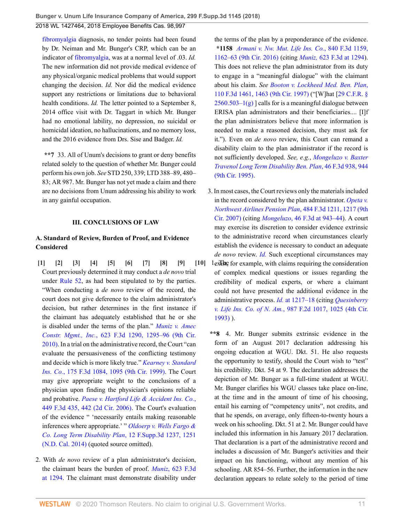**Bunger v. Unum Life Insurance Company of America, 299 F.Supp.3d 1145 (2018)**

#### 2018 WL 1427464, 2018 Employee Benefits Cas. 98,997

[fibromyalgia](http://www.westlaw.com/Link/Document/FullText?entityType=disease&entityId=Ic21f0856475411db9765f9243f53508a&originationContext=document&transitionType=DocumentItem&contextData=(sc.Default)&vr=3.0&rs=cblt1.0) diagnosis, no tender points had been found by Dr. Neiman and Mr. Bunger's CRP, which can be an indicator of [fibromyalgia,](http://www.westlaw.com/Link/Document/FullText?entityType=disease&entityId=Ic21f0856475411db9765f9243f53508a&originationContext=document&transitionType=DocumentItem&contextData=(sc.Default)&vr=3.0&rs=cblt1.0) was at a normal level of .03. *Id.* The new information did not provide medical evidence of any physical/organic medical problems that would support changing the decision. *Id.* Nor did the medical evidence support any restrictions or limitations due to behavioral health conditions. *Id.* The letter pointed to a September 8, 2014 office visit with Dr. Taggart in which Mr. Bunger had no emotional lability, no depression, no suicidal or homicidal ideation, no hallucinations, and no memory loss, and the 2016 evidence from Drs. Sise and Badger. *Id.*

**\*\*7** 33. All of Unum's decisions to grant or deny benefits related solely to the question of whether Mr. Bunger could perform his own job. *See* STD 250, 339; LTD 388–89, 480– 83; AR 987. Mr. Bunger has not yet made a claim and there are no decisions from Unum addressing his ability to work in any gainful occupation.

#### <span id="page-10-5"></span><span id="page-10-4"></span><span id="page-10-3"></span><span id="page-10-2"></span>**III. CONCLUSIONS OF LAW**

## **A. Standard of Review, Burden of Proof, and Evidence Considered**

- <span id="page-10-1"></span><span id="page-10-0"></span> $[1]$   $[2]$   $[3]$   $[4]$   $[5]$   $[6]$   $[7]$   $[8]$   $[9]$   $[10]$   $1$  $\mathrm{ex}$   $\mathrm{Re}$ Court previously determined it may conduct a *de novo* trial under [Rule 52](http://www.westlaw.com/Link/Document/FullText?findType=L&pubNum=1000600&cite=USFRCPR52&originatingDoc=I264d33a02e8211e888d5f23feb60b681&refType=LQ&originationContext=document&vr=3.0&rs=cblt1.0&transitionType=DocumentItem&contextData=(sc.UserEnteredCitation)), as had been stipulated to by the parties. "When conducting a *de novo* review of the record, the court does not give deference to the claim administrator's decision, but rather determines in the first instance if the claimant has adequately established that he or she is disabled under the terms of the plan." *[Muniz v. Amec](http://www.westlaw.com/Link/Document/FullText?findType=Y&serNum=2023501190&pubNum=0000506&originatingDoc=I264d33a02e8211e888d5f23feb60b681&refType=RP&fi=co_pp_sp_506_1295&originationContext=document&vr=3.0&rs=cblt1.0&transitionType=DocumentItem&contextData=(sc.UserEnteredCitation)#co_pp_sp_506_1295) Constr. Mgmt., Inc.*[, 623 F.3d 1290, 1295–96 \(9th Cir.](http://www.westlaw.com/Link/Document/FullText?findType=Y&serNum=2023501190&pubNum=0000506&originatingDoc=I264d33a02e8211e888d5f23feb60b681&refType=RP&fi=co_pp_sp_506_1295&originationContext=document&vr=3.0&rs=cblt1.0&transitionType=DocumentItem&contextData=(sc.UserEnteredCitation)#co_pp_sp_506_1295) [2010\)](http://www.westlaw.com/Link/Document/FullText?findType=Y&serNum=2023501190&pubNum=0000506&originatingDoc=I264d33a02e8211e888d5f23feb60b681&refType=RP&fi=co_pp_sp_506_1295&originationContext=document&vr=3.0&rs=cblt1.0&transitionType=DocumentItem&contextData=(sc.UserEnteredCitation)#co_pp_sp_506_1295). In a trial on the administrative record, the Court "can evaluate the persuasiveness of the conflicting testimony and decide which is more likely true." *[Kearney v. Standard](http://www.westlaw.com/Link/Document/FullText?findType=Y&serNum=1999110922&pubNum=0000506&originatingDoc=I264d33a02e8211e888d5f23feb60b681&refType=RP&fi=co_pp_sp_506_1095&originationContext=document&vr=3.0&rs=cblt1.0&transitionType=DocumentItem&contextData=(sc.UserEnteredCitation)#co_pp_sp_506_1095) Ins. Co.*[, 175 F.3d 1084, 1095 \(9th Cir. 1999\).](http://www.westlaw.com/Link/Document/FullText?findType=Y&serNum=1999110922&pubNum=0000506&originatingDoc=I264d33a02e8211e888d5f23feb60b681&refType=RP&fi=co_pp_sp_506_1095&originationContext=document&vr=3.0&rs=cblt1.0&transitionType=DocumentItem&contextData=(sc.UserEnteredCitation)#co_pp_sp_506_1095) The Court may give appropriate weight to the conclusions of a physician upon finding the physician's opinions reliable and probative. *[Paese v. Hartford Life & Accident Ins. Co.](http://www.westlaw.com/Link/Document/FullText?findType=Y&serNum=2009220124&pubNum=0000506&originatingDoc=I264d33a02e8211e888d5f23feb60b681&refType=RP&fi=co_pp_sp_506_442&originationContext=document&vr=3.0&rs=cblt1.0&transitionType=DocumentItem&contextData=(sc.UserEnteredCitation)#co_pp_sp_506_442)*, [449 F.3d 435, 442 \(2d Cir. 2006\)](http://www.westlaw.com/Link/Document/FullText?findType=Y&serNum=2009220124&pubNum=0000506&originatingDoc=I264d33a02e8211e888d5f23feb60b681&refType=RP&fi=co_pp_sp_506_442&originationContext=document&vr=3.0&rs=cblt1.0&transitionType=DocumentItem&contextData=(sc.UserEnteredCitation)#co_pp_sp_506_442). The Court's evaluation of the evidence " 'necessarily entails making reasonable inferences where appropriate.' " *[Oldoerp v. Wells Fargo &](http://www.westlaw.com/Link/Document/FullText?findType=Y&serNum=2032613026&pubNum=0007903&originatingDoc=I264d33a02e8211e888d5f23feb60b681&refType=RP&fi=co_pp_sp_7903_1251&originationContext=document&vr=3.0&rs=cblt1.0&transitionType=DocumentItem&contextData=(sc.UserEnteredCitation)#co_pp_sp_7903_1251) [Co. Long Term Disability Plan](http://www.westlaw.com/Link/Document/FullText?findType=Y&serNum=2032613026&pubNum=0007903&originatingDoc=I264d33a02e8211e888d5f23feb60b681&refType=RP&fi=co_pp_sp_7903_1251&originationContext=document&vr=3.0&rs=cblt1.0&transitionType=DocumentItem&contextData=(sc.UserEnteredCitation)#co_pp_sp_7903_1251)*, 12 F.Supp.3d 1237, 1251 [\(N.D. Cal. 2014\)](http://www.westlaw.com/Link/Document/FullText?findType=Y&serNum=2032613026&pubNum=0007903&originatingDoc=I264d33a02e8211e888d5f23feb60b681&refType=RP&fi=co_pp_sp_7903_1251&originationContext=document&vr=3.0&rs=cblt1.0&transitionType=DocumentItem&contextData=(sc.UserEnteredCitation)#co_pp_sp_7903_1251) (quoted source omitted).
- 2. With *de novo* review of a plan administrator's decision, the claimant bears the burden of proof. *Muniz*[, 623 F.3d](http://www.westlaw.com/Link/Document/FullText?findType=Y&serNum=2023501190&pubNum=0000506&originatingDoc=I264d33a02e8211e888d5f23feb60b681&refType=RP&fi=co_pp_sp_506_1294&originationContext=document&vr=3.0&rs=cblt1.0&transitionType=DocumentItem&contextData=(sc.UserEnteredCitation)#co_pp_sp_506_1294) [at 1294.](http://www.westlaw.com/Link/Document/FullText?findType=Y&serNum=2023501190&pubNum=0000506&originatingDoc=I264d33a02e8211e888d5f23feb60b681&refType=RP&fi=co_pp_sp_506_1294&originationContext=document&vr=3.0&rs=cblt1.0&transitionType=DocumentItem&contextData=(sc.UserEnteredCitation)#co_pp_sp_506_1294) The claimant must demonstrate disability under

the terms of the plan by a preponderance of the evidence. **\*1158** *[Armani v. Nw. Mut. Life Ins. Co.](http://www.westlaw.com/Link/Document/FullText?findType=Y&serNum=2040241455&pubNum=0000506&originatingDoc=I264d33a02e8211e888d5f23feb60b681&refType=RP&fi=co_pp_sp_506_1162&originationContext=document&vr=3.0&rs=cblt1.0&transitionType=DocumentItem&contextData=(sc.UserEnteredCitation)#co_pp_sp_506_1162)*, 840 F.3d 1159, [1162–63 \(9th Cir. 2016\)](http://www.westlaw.com/Link/Document/FullText?findType=Y&serNum=2040241455&pubNum=0000506&originatingDoc=I264d33a02e8211e888d5f23feb60b681&refType=RP&fi=co_pp_sp_506_1162&originationContext=document&vr=3.0&rs=cblt1.0&transitionType=DocumentItem&contextData=(sc.UserEnteredCitation)#co_pp_sp_506_1162) (citing *Muniz,* [623 F.3d at 1294](http://www.westlaw.com/Link/Document/FullText?findType=Y&serNum=2023501190&pubNum=0000506&originatingDoc=I264d33a02e8211e888d5f23feb60b681&refType=RP&fi=co_pp_sp_506_1294&originationContext=document&vr=3.0&rs=cblt1.0&transitionType=DocumentItem&contextData=(sc.UserEnteredCitation)#co_pp_sp_506_1294)). This does not relieve the plan administrator from its duty to engage in a "meaningful dialogue" with the claimant about his claim. *See [Booton v. Lockheed Med. Ben. Plan](http://www.westlaw.com/Link/Document/FullText?findType=Y&serNum=1997089082&pubNum=0000506&originatingDoc=I264d33a02e8211e888d5f23feb60b681&refType=RP&fi=co_pp_sp_506_1463&originationContext=document&vr=3.0&rs=cblt1.0&transitionType=DocumentItem&contextData=(sc.UserEnteredCitation)#co_pp_sp_506_1463)*, [110 F.3d 1461, 1463 \(9th Cir. 1997\)](http://www.westlaw.com/Link/Document/FullText?findType=Y&serNum=1997089082&pubNum=0000506&originatingDoc=I264d33a02e8211e888d5f23feb60b681&refType=RP&fi=co_pp_sp_506_1463&originationContext=document&vr=3.0&rs=cblt1.0&transitionType=DocumentItem&contextData=(sc.UserEnteredCitation)#co_pp_sp_506_1463) ("[W]hat [[29 C.F.R. §](http://www.westlaw.com/Link/Document/FullText?findType=L&pubNum=1000547&cite=29CFRS2560.503-1&originatingDoc=I264d33a02e8211e888d5f23feb60b681&refType=RB&originationContext=document&vr=3.0&rs=cblt1.0&transitionType=DocumentItem&contextData=(sc.UserEnteredCitation)#co_pp_16f4000091d86)  $2560.503-1(g)$  calls for is a meaningful dialogue between ERISA plan administrators and their beneficiaries.... [I]f the plan administrators believe that more information is needed to make a reasoned decision, they must ask for it."). Even on *de novo* review, this Court can remand a disability claim to the plan administrator if the record is not sufficiently developed. *See, e.g.*, *[Mongeluzo v. Baxter](http://www.westlaw.com/Link/Document/FullText?findType=Y&serNum=1995038884&pubNum=0000506&originatingDoc=I264d33a02e8211e888d5f23feb60b681&refType=RP&fi=co_pp_sp_506_944&originationContext=document&vr=3.0&rs=cblt1.0&transitionType=DocumentItem&contextData=(sc.UserEnteredCitation)#co_pp_sp_506_944) [Travenol Long Term Disability Ben. Plan](http://www.westlaw.com/Link/Document/FullText?findType=Y&serNum=1995038884&pubNum=0000506&originatingDoc=I264d33a02e8211e888d5f23feb60b681&refType=RP&fi=co_pp_sp_506_944&originationContext=document&vr=3.0&rs=cblt1.0&transitionType=DocumentItem&contextData=(sc.UserEnteredCitation)#co_pp_sp_506_944)*, 46 F.3d 938, 944 [\(9th Cir. 1995\)](http://www.westlaw.com/Link/Document/FullText?findType=Y&serNum=1995038884&pubNum=0000506&originatingDoc=I264d33a02e8211e888d5f23feb60b681&refType=RP&fi=co_pp_sp_506_944&originationContext=document&vr=3.0&rs=cblt1.0&transitionType=DocumentItem&contextData=(sc.UserEnteredCitation)#co_pp_sp_506_944).

- <span id="page-10-9"></span><span id="page-10-8"></span><span id="page-10-7"></span><span id="page-10-6"></span>3. In most cases, the Court reviews only the materials included in the record considered by the plan administrator. *[Opeta v.](http://www.westlaw.com/Link/Document/FullText?findType=Y&serNum=2012177070&pubNum=0000506&originatingDoc=I264d33a02e8211e888d5f23feb60b681&refType=RP&fi=co_pp_sp_506_1217&originationContext=document&vr=3.0&rs=cblt1.0&transitionType=DocumentItem&contextData=(sc.UserEnteredCitation)#co_pp_sp_506_1217) [Northwest Airlines Pension Plan](http://www.westlaw.com/Link/Document/FullText?findType=Y&serNum=2012177070&pubNum=0000506&originatingDoc=I264d33a02e8211e888d5f23feb60b681&refType=RP&fi=co_pp_sp_506_1217&originationContext=document&vr=3.0&rs=cblt1.0&transitionType=DocumentItem&contextData=(sc.UserEnteredCitation)#co_pp_sp_506_1217)*, 484 F.3d 1211, 1217 (9th [Cir. 2007\)](http://www.westlaw.com/Link/Document/FullText?findType=Y&serNum=2012177070&pubNum=0000506&originatingDoc=I264d33a02e8211e888d5f23feb60b681&refType=RP&fi=co_pp_sp_506_1217&originationContext=document&vr=3.0&rs=cblt1.0&transitionType=DocumentItem&contextData=(sc.UserEnteredCitation)#co_pp_sp_506_1217) (citing *Mongeluzo*[, 46 F.3d at 943–44](http://www.westlaw.com/Link/Document/FullText?findType=Y&serNum=1995038884&pubNum=0000506&originatingDoc=I264d33a02e8211e888d5f23feb60b681&refType=RP&fi=co_pp_sp_506_943&originationContext=document&vr=3.0&rs=cblt1.0&transitionType=DocumentItem&contextData=(sc.UserEnteredCitation)#co_pp_sp_506_943)). A court may exercise its discretion to consider evidence extrinsic to the administrative record when circumstances clearly establish the evidence is necessary to conduct an adequate *de novo* review. *[Id.](http://www.westlaw.com/Link/Document/FullText?findType=Y&serNum=2012177070&pubNum=0000506&originatingDoc=I264d33a02e8211e888d5f23feb60b681&refType=RP&originationContext=document&vr=3.0&rs=cblt1.0&transitionType=DocumentItem&contextData=(sc.UserEnteredCitation))* Such exceptional circumstances may l existed for example, with claims requiring the consideration of complex medical questions or issues regarding the credibility of medical experts, or where a claimant could not have presented the additional evidence in the administrative process. *Id.* [at 1217–18](http://www.westlaw.com/Link/Document/FullText?findType=Y&serNum=2012177070&pubNum=0000506&originatingDoc=I264d33a02e8211e888d5f23feb60b681&refType=RP&fi=co_pp_sp_506_1217&originationContext=document&vr=3.0&rs=cblt1.0&transitionType=DocumentItem&contextData=(sc.UserEnteredCitation)#co_pp_sp_506_1217) (citing *[Quesinberry](http://www.westlaw.com/Link/Document/FullText?findType=Y&serNum=1993056771&pubNum=0000350&originatingDoc=I264d33a02e8211e888d5f23feb60b681&refType=RP&fi=co_pp_sp_350_1025&originationContext=document&vr=3.0&rs=cblt1.0&transitionType=DocumentItem&contextData=(sc.UserEnteredCitation)#co_pp_sp_350_1025) v. Life Ins. Co. of N. Am.*[, 987 F.2d 1017, 1025 \(4th Cir.](http://www.westlaw.com/Link/Document/FullText?findType=Y&serNum=1993056771&pubNum=0000350&originatingDoc=I264d33a02e8211e888d5f23feb60b681&refType=RP&fi=co_pp_sp_350_1025&originationContext=document&vr=3.0&rs=cblt1.0&transitionType=DocumentItem&contextData=(sc.UserEnteredCitation)#co_pp_sp_350_1025) [1993\)](http://www.westlaw.com/Link/Document/FullText?findType=Y&serNum=1993056771&pubNum=0000350&originatingDoc=I264d33a02e8211e888d5f23feb60b681&refType=RP&fi=co_pp_sp_350_1025&originationContext=document&vr=3.0&rs=cblt1.0&transitionType=DocumentItem&contextData=(sc.UserEnteredCitation)#co_pp_sp_350_1025) ).
- **\*\*8** 4. Mr. Bunger submits extrinsic evidence in the form of an August 2017 declaration addressing his ongoing education at WGU. Dkt. 51. He also requests the opportunity to testify, should the Court wish to "test" his credibility. Dkt. 54 at 9. The declaration addresses the depiction of Mr. Bunger as a full-time student at WGU. Mr. Bunger clarifies his WGU classes take place on-line, at the time and in the amount of time of his choosing, entail his earning of "competency units", not credits, and that he spends, on average, only fifteen-to-twenty hours a week on his schooling. Dkt. 51 at 2. Mr. Bunger could have included this information in his January 2017 declaration. That declaration is a part of the administrative record and includes a discussion of Mr. Bunger's activities and their impact on his functioning, without any mention of his schooling. AR 854–56. Further, the information in the new declaration appears to relate solely to the period of time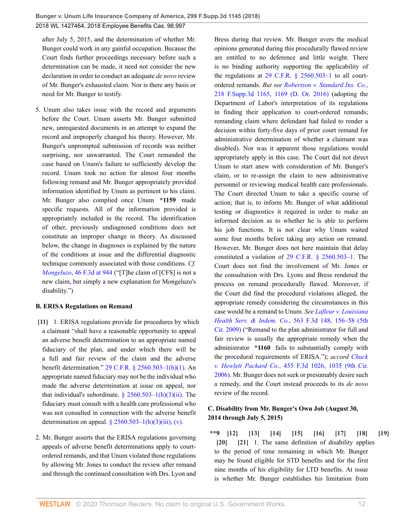after July 5, 2015, and the determination of whether Mr. Bunger could work in any gainful occupation. Because the Court finds further proceedings necessary before such a determination can be made, it need not consider the new declaration in order to conduct an adequate *de novo* review of Mr. Bunger's exhausted claim. Nor is there any basis or need for Mr. Bunger to testify.

5. Unum also takes issue with the record and arguments before the Court. Unum asserts Mr. Bunger submitted new, unrequested documents in an attempt to expand the record and improperly changed his theory. However, Mr. Bunger's unprompted submission of records was neither surprising, nor unwarranted. The Court remanded the case based on Unum's failure to sufficiently develop the record. Unum took no action for almost four months following remand and Mr. Bunger appropriately provided information identified by Unum as pertinent to his claim. Mr. Bunger also complied once Unum **\*1159** made specific requests. All of the information provided is appropriately included in the record. The identification of other, previously undiagnosed conditions does not constitute an improper change in theory. As discussed below, the change in diagnoses is explained by the nature of the conditions at issue and the differential diagnostic technique commonly associated with those conditions. *Cf. Mongeluzo*[, 46 F.3d at 944](http://www.westlaw.com/Link/Document/FullText?findType=Y&serNum=1995038884&pubNum=0000506&originatingDoc=I264d33a02e8211e888d5f23feb60b681&refType=RP&fi=co_pp_sp_506_944&originationContext=document&vr=3.0&rs=cblt1.0&transitionType=DocumentItem&contextData=(sc.UserEnteredCitation)#co_pp_sp_506_944) ("[T]he claim of [CFS] is not a new claim, but simply a new explanation for Mongeluzo's disability.")

#### **B. ERISA Regulations on Remand**

- <span id="page-11-0"></span>**[\[11\]](#page-2-2)** 1. ERISA regulations provide for procedures by which a claimant "shall have a reasonable opportunity to appeal an adverse benefit determination to an appropriate named fiduciary of the plan, and under which there will be a full and fair review of the claim and the adverse benefit determination." [29 C.F.R. § 2560.503–1\(h\)\(1\)](http://www.westlaw.com/Link/Document/FullText?findType=L&pubNum=1000547&cite=29CFRS2560.503-1&originatingDoc=I264d33a02e8211e888d5f23feb60b681&refType=RB&originationContext=document&vr=3.0&rs=cblt1.0&transitionType=DocumentItem&contextData=(sc.UserEnteredCitation)#co_pp_b4e500006fdf6). An appropriate named fiduciary may not be the individual who made the adverse determination at issue on appeal, nor that individual's subordinate.  $\frac{8}{2560.503} - 1(h)(3)(ii)$ . The fiduciary must consult with a health care professional who was not consulted in connection with the adverse benefit determination on appeal.  $\frac{2560.503 - 1(h)(3)(iii)}{i}$ , (v).
- 2. Mr. Bunger asserts that the ERISA regulations governing appeals of adverse benefit determinations apply to courtordered remands, and that Unum violated those regulations by allowing Mr. Jones to conduct the review after remand and through the continued consultation with Drs. Lyon and

Bress during that review. Mr. Bunger avers the medical opinions generated during this procedurally flawed review are entitled to no deference and little weight. There is no binding authority supporting the applicability of the regulations at  $29$  C.F.R. §  $2560.503-1$  to all courtordered remands. *But see [Robertson v. Standard](http://www.westlaw.com/Link/Document/FullText?findType=Y&serNum=2040358423&pubNum=0007903&originatingDoc=I264d33a02e8211e888d5f23feb60b681&refType=RP&fi=co_pp_sp_7903_1169&originationContext=document&vr=3.0&rs=cblt1.0&transitionType=DocumentItem&contextData=(sc.UserEnteredCitation)#co_pp_sp_7903_1169) Ins. Co.*, [218 F.Supp.3d 1165, 1169 \(D. Or. 2016\)](http://www.westlaw.com/Link/Document/FullText?findType=Y&serNum=2040358423&pubNum=0007903&originatingDoc=I264d33a02e8211e888d5f23feb60b681&refType=RP&fi=co_pp_sp_7903_1169&originationContext=document&vr=3.0&rs=cblt1.0&transitionType=DocumentItem&contextData=(sc.UserEnteredCitation)#co_pp_sp_7903_1169) (adopting the Department of Labor's interpretation of its regulations in finding their application to court-ordered remands; remanding claim where defendant had failed to render a decision within forty-five days of prior court remand for administrative determination of whether a claimant was disabled). Nor was it apparent those regulations would appropriately apply in this case. The Court did not direct Unum to start anew with consideration of Mr. Bunger's claim, or to re-assign the claim to new administrative personnel or reviewing medical health care professionals. The Court directed Unum to take a specific course of action; that is, to inform Mr. Bunger of what additional testing or diagnostics it required in order to make an informed decision as to whether he is able to perform his job functions. It is not clear why Unum waited some four months before taking any action on remand. However, Mr. Bunger does not here maintain that delay constituted a violation of [29 C.F.R. § 2560.503–1.](http://www.westlaw.com/Link/Document/FullText?findType=L&pubNum=1000547&cite=29CFRS2560.503-1&originatingDoc=I264d33a02e8211e888d5f23feb60b681&refType=LQ&originationContext=document&vr=3.0&rs=cblt1.0&transitionType=DocumentItem&contextData=(sc.UserEnteredCitation)) The Court does not find the involvement of Mr. Jones or the consultation with Drs. Lyons and Bress rendered the process on remand procedurally flawed. Moreover, if the Court did find the procedural violations alleged, the appropriate remedy considering the circumstances in this case would be a remand to Unum. *See [Lafleur v. Louisiana](http://www.westlaw.com/Link/Document/FullText?findType=Y&serNum=2018412095&pubNum=0000506&originatingDoc=I264d33a02e8211e888d5f23feb60b681&refType=RP&fi=co_pp_sp_506_156&originationContext=document&vr=3.0&rs=cblt1.0&transitionType=DocumentItem&contextData=(sc.UserEnteredCitation)#co_pp_sp_506_156) Health Serv. & Indem. Co.*[, 563 F.3d 148, 156–58 \(5th](http://www.westlaw.com/Link/Document/FullText?findType=Y&serNum=2018412095&pubNum=0000506&originatingDoc=I264d33a02e8211e888d5f23feb60b681&refType=RP&fi=co_pp_sp_506_156&originationContext=document&vr=3.0&rs=cblt1.0&transitionType=DocumentItem&contextData=(sc.UserEnteredCitation)#co_pp_sp_506_156) [Cir. 2009\)](http://www.westlaw.com/Link/Document/FullText?findType=Y&serNum=2018412095&pubNum=0000506&originatingDoc=I264d33a02e8211e888d5f23feb60b681&refType=RP&fi=co_pp_sp_506_156&originationContext=document&vr=3.0&rs=cblt1.0&transitionType=DocumentItem&contextData=(sc.UserEnteredCitation)#co_pp_sp_506_156) ("Remand to the plan administrator for full and fair review is usually the appropriate remedy when the administrator **\*1160** fails to substantially comply with the procedural requirements of ERISA."); *accord [Chuck](http://www.westlaw.com/Link/Document/FullText?findType=Y&serNum=2009610628&pubNum=0000506&originatingDoc=I264d33a02e8211e888d5f23feb60b681&refType=RP&fi=co_pp_sp_506_1035&originationContext=document&vr=3.0&rs=cblt1.0&transitionType=DocumentItem&contextData=(sc.UserEnteredCitation)#co_pp_sp_506_1035) v. Hewlett Packard Co.*[, 455 F.3d 1026, 1035 \(9th Cir.](http://www.westlaw.com/Link/Document/FullText?findType=Y&serNum=2009610628&pubNum=0000506&originatingDoc=I264d33a02e8211e888d5f23feb60b681&refType=RP&fi=co_pp_sp_506_1035&originationContext=document&vr=3.0&rs=cblt1.0&transitionType=DocumentItem&contextData=(sc.UserEnteredCitation)#co_pp_sp_506_1035) [2006\)](http://www.westlaw.com/Link/Document/FullText?findType=Y&serNum=2009610628&pubNum=0000506&originatingDoc=I264d33a02e8211e888d5f23feb60b681&refType=RP&fi=co_pp_sp_506_1035&originationContext=document&vr=3.0&rs=cblt1.0&transitionType=DocumentItem&contextData=(sc.UserEnteredCitation)#co_pp_sp_506_1035). Mr. Bunger does not seek or presumably desire such a remedy, and the Court instead proceeds to its *de novo* review of the record.

#### **C. Disability from Mr. Bunger's Own Job (August 30, 2014 through July 5, 2015)**

<span id="page-11-10"></span><span id="page-11-9"></span><span id="page-11-8"></span><span id="page-11-7"></span><span id="page-11-6"></span><span id="page-11-5"></span><span id="page-11-4"></span><span id="page-11-3"></span><span id="page-11-2"></span><span id="page-11-1"></span>**\*\*9 [\[12\]](#page-2-0) [\[13](#page-2-3)] [\[14\]](#page-2-1) [\[15\]](#page-2-4) [\[16\]](#page-3-1) [\[17\]](#page-3-2) [\[18\]](#page-3-3) [\[19\]](#page-3-4) [\[20\]](#page-3-5) [\[21\]](#page-3-0)** 1. The same definition of disability applies to the period of time remaining in which Mr. Bunger may be found eligible for STD benefits and for the first nine months of his eligibility for LTD benefits. At issue is whether Mr. Bunger establishes his limitation from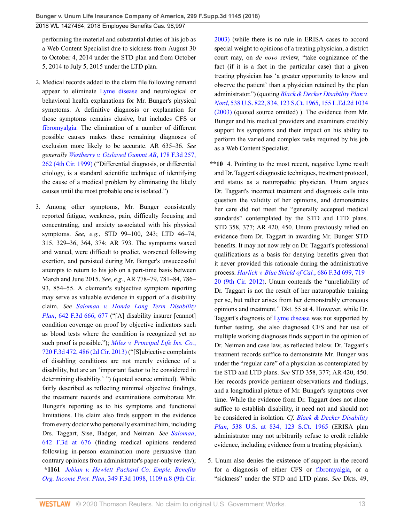performing the material and substantial duties of his job as a Web Content Specialist due to sickness from August 30 to October 4, 2014 under the STD plan and from October 5, 2014 to July 5, 2015 under the LTD plan.

- 2. Medical records added to the claim file following remand appear to eliminate [Lyme disease](http://www.westlaw.com/Link/Document/FullText?entityType=disease&entityId=Ib21fe02a475411db9765f9243f53508a&originationContext=document&transitionType=DocumentItem&contextData=(sc.Default)&vr=3.0&rs=cblt1.0) and neurological or behavioral health explanations for Mr. Bunger's physical symptoms. A definitive diagnosis or explanation for those symptoms remains elusive, but includes CFS or [fibromyalgia.](http://www.westlaw.com/Link/Document/FullText?entityType=disease&entityId=Ic21f0856475411db9765f9243f53508a&originationContext=document&transitionType=DocumentItem&contextData=(sc.Default)&vr=3.0&rs=cblt1.0) The elimination of a number of different possible causes makes these remaining diagnoses of exclusion more likely to be accurate. AR 635–36. *See generally [Westberry v. Gislaved Gummi AB](http://www.westlaw.com/Link/Document/FullText?findType=Y&serNum=1999126400&pubNum=0000506&originatingDoc=I264d33a02e8211e888d5f23feb60b681&refType=RP&fi=co_pp_sp_506_262&originationContext=document&vr=3.0&rs=cblt1.0&transitionType=DocumentItem&contextData=(sc.UserEnteredCitation)#co_pp_sp_506_262)*, 178 F.3d 257, [262 \(4th Cir. 1999\)](http://www.westlaw.com/Link/Document/FullText?findType=Y&serNum=1999126400&pubNum=0000506&originatingDoc=I264d33a02e8211e888d5f23feb60b681&refType=RP&fi=co_pp_sp_506_262&originationContext=document&vr=3.0&rs=cblt1.0&transitionType=DocumentItem&contextData=(sc.UserEnteredCitation)#co_pp_sp_506_262) ("Differential diagnosis, or differential etiology, is a standard scientific technique of identifying the cause of a medical problem by eliminating the likely causes until the most probable one is isolated.")
- 3. Among other symptoms, Mr. Bunger consistently reported fatigue, weakness, pain, difficulty focusing and concentrating, and anxiety associated with his physical symptoms. *See, e.g.*, STD 99–100, 243; LTD 46–74, 315, 329–36, 364, 374; AR 793. The symptoms waxed and waned, were difficult to predict, worsened following exertion, and persisted during Mr. Bunger's unsuccessful attempts to return to his job on a part-time basis between March and June 2015. *See, e.g.*, AR 778–79, 781–84, 786– 93, 854–55. A claimant's subjective symptom reporting may serve as valuable evidence in support of a disability claim. *See [Salomaa v. Honda Long Term Disability](http://www.westlaw.com/Link/Document/FullText?findType=Y&serNum=2025355366&pubNum=0000506&originatingDoc=I264d33a02e8211e888d5f23feb60b681&refType=RP&fi=co_pp_sp_506_677&originationContext=document&vr=3.0&rs=cblt1.0&transitionType=DocumentItem&contextData=(sc.UserEnteredCitation)#co_pp_sp_506_677) Plan*[, 642 F.3d 666, 677](http://www.westlaw.com/Link/Document/FullText?findType=Y&serNum=2025355366&pubNum=0000506&originatingDoc=I264d33a02e8211e888d5f23feb60b681&refType=RP&fi=co_pp_sp_506_677&originationContext=document&vr=3.0&rs=cblt1.0&transitionType=DocumentItem&contextData=(sc.UserEnteredCitation)#co_pp_sp_506_677) ("[A] disability insurer [cannot] condition coverage on proof by objective indicators such as blood tests where the condition is recognized yet no such proof is possible."); *[Miles v. Principal Life Ins. Co.](http://www.westlaw.com/Link/Document/FullText?findType=Y&serNum=2030869396&pubNum=0000506&originatingDoc=I264d33a02e8211e888d5f23feb60b681&refType=RP&fi=co_pp_sp_506_486&originationContext=document&vr=3.0&rs=cblt1.0&transitionType=DocumentItem&contextData=(sc.UserEnteredCitation)#co_pp_sp_506_486)*, [720 F.3d 472, 486 \(2d Cir. 2013\)](http://www.westlaw.com/Link/Document/FullText?findType=Y&serNum=2030869396&pubNum=0000506&originatingDoc=I264d33a02e8211e888d5f23feb60b681&refType=RP&fi=co_pp_sp_506_486&originationContext=document&vr=3.0&rs=cblt1.0&transitionType=DocumentItem&contextData=(sc.UserEnteredCitation)#co_pp_sp_506_486) ("[S]ubjective complaints of disabling conditions are not merely evidence of a disability, but are an 'important factor to be considered in determining disability.' ") (quoted source omitted). While fairly described as reflecting minimal objective findings, the treatment records and examinations corroborate Mr. Bunger's reporting as to his symptoms and functional limitations. His claim also finds support in the evidence from every doctor who personally examined him, including Drs. Taggart, Sise, Badger, and Neiman. *See [Salomaa](http://www.westlaw.com/Link/Document/FullText?findType=Y&serNum=2025355366&pubNum=0000506&originatingDoc=I264d33a02e8211e888d5f23feb60b681&refType=RP&fi=co_pp_sp_506_676&originationContext=document&vr=3.0&rs=cblt1.0&transitionType=DocumentItem&contextData=(sc.UserEnteredCitation)#co_pp_sp_506_676)*, [642 F.3d at 676](http://www.westlaw.com/Link/Document/FullText?findType=Y&serNum=2025355366&pubNum=0000506&originatingDoc=I264d33a02e8211e888d5f23feb60b681&refType=RP&fi=co_pp_sp_506_676&originationContext=document&vr=3.0&rs=cblt1.0&transitionType=DocumentItem&contextData=(sc.UserEnteredCitation)#co_pp_sp_506_676) (finding medical opinions rendered following in-person examination more persuasive than contrary opinions from administrator's paper-only review); **\*1161** *[Jebian v. Hewlett–Packard Co. Emple.](http://www.westlaw.com/Link/Document/FullText?findType=Y&serNum=2003873243&pubNum=0000506&originatingDoc=I264d33a02e8211e888d5f23feb60b681&refType=RP&fi=co_pp_sp_506_1109&originationContext=document&vr=3.0&rs=cblt1.0&transitionType=DocumentItem&contextData=(sc.UserEnteredCitation)#co_pp_sp_506_1109) Benefits Org. Income Prot. Plan*[, 349 F.3d 1098, 1109 n.8 \(9th Cir.](http://www.westlaw.com/Link/Document/FullText?findType=Y&serNum=2003873243&pubNum=0000506&originatingDoc=I264d33a02e8211e888d5f23feb60b681&refType=RP&fi=co_pp_sp_506_1109&originationContext=document&vr=3.0&rs=cblt1.0&transitionType=DocumentItem&contextData=(sc.UserEnteredCitation)#co_pp_sp_506_1109)

[2003\)](http://www.westlaw.com/Link/Document/FullText?findType=Y&serNum=2003873243&pubNum=0000506&originatingDoc=I264d33a02e8211e888d5f23feb60b681&refType=RP&fi=co_pp_sp_506_1109&originationContext=document&vr=3.0&rs=cblt1.0&transitionType=DocumentItem&contextData=(sc.UserEnteredCitation)#co_pp_sp_506_1109) (while there is no rule in ERISA cases to accord special weight to opinions of a treating physician, a district court may, on *de novo* review, "take cognizance of the fact (if it is a fact in the particular case) that a given treating physician has 'a greater opportunity to know and observe the patient' than a physician retained by the plan administrator.") (quoting *[Black & Decker Disability Plan v.](http://www.westlaw.com/Link/Document/FullText?findType=Y&serNum=2003378337&pubNum=0000780&originatingDoc=I264d33a02e8211e888d5f23feb60b681&refType=RP&fi=co_pp_sp_780_834&originationContext=document&vr=3.0&rs=cblt1.0&transitionType=DocumentItem&contextData=(sc.UserEnteredCitation)#co_pp_sp_780_834) Nord*[, 538 U.S. 822, 834, 123 S.Ct. 1965, 155 L.Ed.2d 1034](http://www.westlaw.com/Link/Document/FullText?findType=Y&serNum=2003378337&pubNum=0000780&originatingDoc=I264d33a02e8211e888d5f23feb60b681&refType=RP&fi=co_pp_sp_780_834&originationContext=document&vr=3.0&rs=cblt1.0&transitionType=DocumentItem&contextData=(sc.UserEnteredCitation)#co_pp_sp_780_834) [\(2003\)](http://www.westlaw.com/Link/Document/FullText?findType=Y&serNum=2003378337&pubNum=0000780&originatingDoc=I264d33a02e8211e888d5f23feb60b681&refType=RP&fi=co_pp_sp_780_834&originationContext=document&vr=3.0&rs=cblt1.0&transitionType=DocumentItem&contextData=(sc.UserEnteredCitation)#co_pp_sp_780_834) (quoted source omitted) ). The evidence from Mr. Bunger and his medical providers and examiners credibly support his symptoms and their impact on his ability to perform the varied and complex tasks required by his job as a Web Content Specialist.

- **\*\*10** 4. Pointing to the most recent, negative Lyme result and Dr. Taggert's diagnostic techniques, treatment protocol, and status as a naturopathic physician, Unum argues Dr. Taggart's incorrect treatment and diagnosis calls into question the validity of her opinions, and demonstrates her care did not meet the "generally accepted medical standards" contemplated by the STD and LTD plans. STD 358, 377; AR 420, 450. Unum previously relied on evidence from Dr. Taggart in awarding Mr. Bunger STD benefits. It may not now rely on Dr. Taggart's professional qualifications as a basis for denying benefits given that it never provided this rationale during the administrative process. *[Harlick v. Blue Shield of Cal.](http://www.westlaw.com/Link/Document/FullText?findType=Y&serNum=2027821369&pubNum=0000506&originatingDoc=I264d33a02e8211e888d5f23feb60b681&refType=RP&fi=co_pp_sp_506_719&originationContext=document&vr=3.0&rs=cblt1.0&transitionType=DocumentItem&contextData=(sc.UserEnteredCitation)#co_pp_sp_506_719)*, 686 F.3d 699, 719– [20 \(9th Cir. 2012\)](http://www.westlaw.com/Link/Document/FullText?findType=Y&serNum=2027821369&pubNum=0000506&originatingDoc=I264d33a02e8211e888d5f23feb60b681&refType=RP&fi=co_pp_sp_506_719&originationContext=document&vr=3.0&rs=cblt1.0&transitionType=DocumentItem&contextData=(sc.UserEnteredCitation)#co_pp_sp_506_719). Unum contends the "unreliability of Dr. Taggart is not the result of her naturopathic training per se, but rather arises from her demonstrably erroneous opinions and treatment." Dkt. 55 at 4. However, while Dr. Taggart's diagnosis of [Lyme disease](http://www.westlaw.com/Link/Document/FullText?entityType=disease&entityId=Ib21fe02a475411db9765f9243f53508a&originationContext=document&transitionType=DocumentItem&contextData=(sc.Default)&vr=3.0&rs=cblt1.0) was not supported by further testing, she also diagnosed CFS and her use of multiple working diagnoses finds support in the opinion of Dr. Neiman and case law, as reflected below. Dr. Taggart's treatment records suffice to demonstrate Mr. Bunger was under the "regular care" of a physician as contemplated by the STD and LTD plans. *See* STD 358, 377; AR 420, 450. Her records provide pertinent observations and findings, and a longitudinal picture of Mr. Bunger's symptoms over time. While the evidence from Dr. Taggart does not alone suffice to establish disability, it need not and should not be considered in isolation. *Cf. [Black & Decker Disability](http://www.westlaw.com/Link/Document/FullText?findType=Y&serNum=2003378337&pubNum=0000780&originatingDoc=I264d33a02e8211e888d5f23feb60b681&refType=RP&fi=co_pp_sp_780_834&originationContext=document&vr=3.0&rs=cblt1.0&transitionType=DocumentItem&contextData=(sc.UserEnteredCitation)#co_pp_sp_780_834) Plan*[, 538 U.S. at 834, 123 S.Ct. 1965](http://www.westlaw.com/Link/Document/FullText?findType=Y&serNum=2003378337&pubNum=0000780&originatingDoc=I264d33a02e8211e888d5f23feb60b681&refType=RP&fi=co_pp_sp_780_834&originationContext=document&vr=3.0&rs=cblt1.0&transitionType=DocumentItem&contextData=(sc.UserEnteredCitation)#co_pp_sp_780_834) (ERISA plan administrator may not arbitrarily refuse to credit reliable evidence, including evidence from a treating physician).
- 5. Unum also denies the existence of support in the record for a diagnosis of either CFS or [fibromyalgia](http://www.westlaw.com/Link/Document/FullText?entityType=disease&entityId=Ic21f0856475411db9765f9243f53508a&originationContext=document&transitionType=DocumentItem&contextData=(sc.Default)&vr=3.0&rs=cblt1.0), or a "sickness" under the STD and LTD plans. *See* Dkts. 49,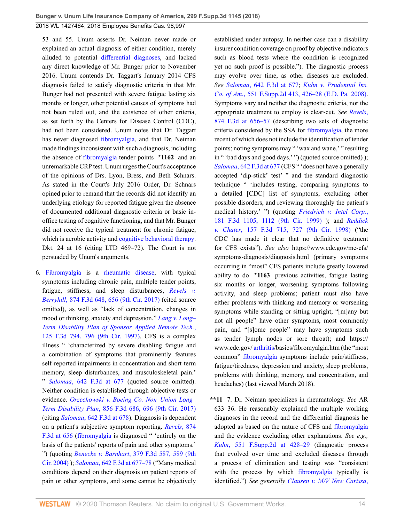53 and 55. Unum asserts Dr. Neiman never made or explained an actual diagnosis of either condition, merely alluded to potential [differential diagnoses,](http://www.westlaw.com/Link/Document/FullText?entityType=mproc&entityId=Ic33f1d90475411db9765f9243f53508a&originationContext=document&transitionType=DocumentItem&contextData=(sc.Default)&vr=3.0&rs=cblt1.0) and lacked any direct knowledge of Mr. Bunger prior to November 2016. Unum contends Dr. Taggart's January 2014 CFS diagnosis failed to satisfy diagnostic criteria in that Mr. Bunger had not presented with severe fatigue lasting six months or longer, other potential causes of symptoms had not been ruled out, and the existence of other criteria, as set forth by the Centers for Disease Control (CDC), had not been considered. Unum notes that Dr. Taggart has never diagnosed [fibromyalgia](http://www.westlaw.com/Link/Document/FullText?entityType=disease&entityId=Ic21f0856475411db9765f9243f53508a&originationContext=document&transitionType=DocumentItem&contextData=(sc.Default)&vr=3.0&rs=cblt1.0), and that Dr. Neiman made findings inconsistent with such a diagnosis, including the absence of [fibromyalgia](http://www.westlaw.com/Link/Document/FullText?entityType=disease&entityId=Ic21f0856475411db9765f9243f53508a&originationContext=document&transitionType=DocumentItem&contextData=(sc.Default)&vr=3.0&rs=cblt1.0) tender points **\*1162** and an unremarkable CRP test. Unum urges the Court's acceptance of the opinions of Drs. Lyon, Bress, and Beth Schnars. As stated in the Court's July 2016 Order, Dr. Schnars opined prior to remand that the records did not identify an underlying etiology for reported fatigue given the absence of documented additional diagnostic criteria or basic inoffice testing of cognitive functioning, and that Mr. Bunger did not receive the typical treatment for chronic fatigue, which is aerobic activity and [cognitive behavioral therapy.](http://www.westlaw.com/Link/Document/FullText?entityType=mproc&entityId=Iafb018ea475411db9765f9243f53508a&originationContext=document&transitionType=DocumentItem&contextData=(sc.Default)&vr=3.0&rs=cblt1.0) Dkt. 24 at 16 (citing LTD 469–72). The Court is not persuaded by Unum's arguments.

6. [Fibromyalgia](http://www.westlaw.com/Link/Document/FullText?entityType=disease&entityId=Ic21f0856475411db9765f9243f53508a&originationContext=document&transitionType=DocumentItem&contextData=(sc.Default)&vr=3.0&rs=cblt1.0) is a [rheumatic disease](http://www.westlaw.com/Link/Document/FullText?entityType=disease&entityId=Ib9c08b3a475411db9765f9243f53508a&originationContext=document&transitionType=DocumentItem&contextData=(sc.Default)&vr=3.0&rs=cblt1.0), with typical symptoms including chronic pain, multiple tender points, fatigue, stiffness, and sleep disturbances, *[Revels v.](http://www.westlaw.com/Link/Document/FullText?findType=Y&serNum=2042963823&pubNum=0000506&originatingDoc=I264d33a02e8211e888d5f23feb60b681&refType=RP&fi=co_pp_sp_506_656&originationContext=document&vr=3.0&rs=cblt1.0&transitionType=DocumentItem&contextData=(sc.UserEnteredCitation)#co_pp_sp_506_656) Berryhill*[, 874 F.3d 648, 656 \(9th Cir. 2017\)](http://www.westlaw.com/Link/Document/FullText?findType=Y&serNum=2042963823&pubNum=0000506&originatingDoc=I264d33a02e8211e888d5f23feb60b681&refType=RP&fi=co_pp_sp_506_656&originationContext=document&vr=3.0&rs=cblt1.0&transitionType=DocumentItem&contextData=(sc.UserEnteredCitation)#co_pp_sp_506_656) (cited source omitted), as well as "lack of concentration, changes in mood or thinking, anxiety and depression." *[Lang v. Long–](http://www.westlaw.com/Link/Document/FullText?findType=Y&serNum=1997186788&pubNum=0000506&originatingDoc=I264d33a02e8211e888d5f23feb60b681&refType=RP&fi=co_pp_sp_506_796&originationContext=document&vr=3.0&rs=cblt1.0&transitionType=DocumentItem&contextData=(sc.UserEnteredCitation)#co_pp_sp_506_796) [Term Disability Plan of Sponsor Applied Remote Tech.](http://www.westlaw.com/Link/Document/FullText?findType=Y&serNum=1997186788&pubNum=0000506&originatingDoc=I264d33a02e8211e888d5f23feb60b681&refType=RP&fi=co_pp_sp_506_796&originationContext=document&vr=3.0&rs=cblt1.0&transitionType=DocumentItem&contextData=(sc.UserEnteredCitation)#co_pp_sp_506_796)*, [125 F.3d 794, 796 \(9th Cir. 1997\).](http://www.westlaw.com/Link/Document/FullText?findType=Y&serNum=1997186788&pubNum=0000506&originatingDoc=I264d33a02e8211e888d5f23feb60b681&refType=RP&fi=co_pp_sp_506_796&originationContext=document&vr=3.0&rs=cblt1.0&transitionType=DocumentItem&contextData=(sc.UserEnteredCitation)#co_pp_sp_506_796) CFS is a complex illness " 'characterized by severe disabling fatigue and a combination of symptoms that prominently features self-reported impairments in concentration and short-term memory, sleep disturbances, and musculoskeletal pain.' " *Salomaa*[, 642 F.3d at 677](http://www.westlaw.com/Link/Document/FullText?findType=Y&serNum=2025355366&pubNum=0000506&originatingDoc=I264d33a02e8211e888d5f23feb60b681&refType=RP&fi=co_pp_sp_506_677&originationContext=document&vr=3.0&rs=cblt1.0&transitionType=DocumentItem&contextData=(sc.UserEnteredCitation)#co_pp_sp_506_677) (quoted source omitted). Neither condition is established through objective tests or evidence. *[Orzechowski v. Boeing Co. Non–Union Long–](http://www.westlaw.com/Link/Document/FullText?findType=Y&serNum=2041630525&pubNum=0000506&originatingDoc=I264d33a02e8211e888d5f23feb60b681&refType=RP&fi=co_pp_sp_506_696&originationContext=document&vr=3.0&rs=cblt1.0&transitionType=DocumentItem&contextData=(sc.UserEnteredCitation)#co_pp_sp_506_696) Term Disability Plan*[, 856 F.3d 686, 696 \(9th Cir. 2017\)](http://www.westlaw.com/Link/Document/FullText?findType=Y&serNum=2041630525&pubNum=0000506&originatingDoc=I264d33a02e8211e888d5f23feb60b681&refType=RP&fi=co_pp_sp_506_696&originationContext=document&vr=3.0&rs=cblt1.0&transitionType=DocumentItem&contextData=(sc.UserEnteredCitation)#co_pp_sp_506_696) (citing *Salomaa*[, 642 F.3d at 678](http://www.westlaw.com/Link/Document/FullText?findType=Y&serNum=2025355366&pubNum=0000506&originatingDoc=I264d33a02e8211e888d5f23feb60b681&refType=RP&fi=co_pp_sp_506_678&originationContext=document&vr=3.0&rs=cblt1.0&transitionType=DocumentItem&contextData=(sc.UserEnteredCitation)#co_pp_sp_506_678)). Diagnosis is dependent on a patient's subjective symptom reporting. *[Revels](http://www.westlaw.com/Link/Document/FullText?findType=Y&serNum=2042963823&pubNum=0000506&originatingDoc=I264d33a02e8211e888d5f23feb60b681&refType=RP&fi=co_pp_sp_506_656&originationContext=document&vr=3.0&rs=cblt1.0&transitionType=DocumentItem&contextData=(sc.UserEnteredCitation)#co_pp_sp_506_656)*, 874 [F.3d at 656](http://www.westlaw.com/Link/Document/FullText?findType=Y&serNum=2042963823&pubNum=0000506&originatingDoc=I264d33a02e8211e888d5f23feb60b681&refType=RP&fi=co_pp_sp_506_656&originationContext=document&vr=3.0&rs=cblt1.0&transitionType=DocumentItem&contextData=(sc.UserEnteredCitation)#co_pp_sp_506_656) [\(fibromyalgia](http://www.westlaw.com/Link/Document/FullText?entityType=disease&entityId=Ic21f0856475411db9765f9243f53508a&originationContext=document&transitionType=DocumentItem&contextData=(sc.Default)&vr=3.0&rs=cblt1.0) is diagnosed " 'entirely on the basis of the patients' reports of pain and other symptoms.' ") (quoting *Benecke v. Barnhart*[, 379 F.3d 587, 589 \(9th](http://www.westlaw.com/Link/Document/FullText?findType=Y&serNum=2004838943&pubNum=0000506&originatingDoc=I264d33a02e8211e888d5f23feb60b681&refType=RP&fi=co_pp_sp_506_589&originationContext=document&vr=3.0&rs=cblt1.0&transitionType=DocumentItem&contextData=(sc.UserEnteredCitation)#co_pp_sp_506_589) [Cir. 2004\)](http://www.westlaw.com/Link/Document/FullText?findType=Y&serNum=2004838943&pubNum=0000506&originatingDoc=I264d33a02e8211e888d5f23feb60b681&refType=RP&fi=co_pp_sp_506_589&originationContext=document&vr=3.0&rs=cblt1.0&transitionType=DocumentItem&contextData=(sc.UserEnteredCitation)#co_pp_sp_506_589) ); *Salomaa*[, 642 F.3d at 677–78](http://www.westlaw.com/Link/Document/FullText?findType=Y&serNum=2025355366&pubNum=0000506&originatingDoc=I264d33a02e8211e888d5f23feb60b681&refType=RP&fi=co_pp_sp_506_677&originationContext=document&vr=3.0&rs=cblt1.0&transitionType=DocumentItem&contextData=(sc.UserEnteredCitation)#co_pp_sp_506_677) ("Many medical conditions depend on their diagnosis on patient reports of pain or other symptoms, and some cannot be objectively

established under autopsy. In neither case can a disability insurer condition coverage on proof by objective indicators such as blood tests where the condition is recognized yet no such proof is possible."). The diagnostic process may evolve over time, as other diseases are excluded. *See Salomaa*[, 642 F.3d at 677;](http://www.westlaw.com/Link/Document/FullText?findType=Y&serNum=2025355366&pubNum=0000506&originatingDoc=I264d33a02e8211e888d5f23feb60b681&refType=RP&fi=co_pp_sp_506_677&originationContext=document&vr=3.0&rs=cblt1.0&transitionType=DocumentItem&contextData=(sc.UserEnteredCitation)#co_pp_sp_506_677) *[Kuhn v. Prudential Ins.](http://www.westlaw.com/Link/Document/FullText?findType=Y&serNum=2015952003&pubNum=0004637&originatingDoc=I264d33a02e8211e888d5f23feb60b681&refType=RP&fi=co_pp_sp_4637_426&originationContext=document&vr=3.0&rs=cblt1.0&transitionType=DocumentItem&contextData=(sc.UserEnteredCitation)#co_pp_sp_4637_426) Co. of Am.*[, 551 F.Supp.2d 413, 426–28 \(E.D. Pa. 2008\)](http://www.westlaw.com/Link/Document/FullText?findType=Y&serNum=2015952003&pubNum=0004637&originatingDoc=I264d33a02e8211e888d5f23feb60b681&refType=RP&fi=co_pp_sp_4637_426&originationContext=document&vr=3.0&rs=cblt1.0&transitionType=DocumentItem&contextData=(sc.UserEnteredCitation)#co_pp_sp_4637_426). Symptoms vary and neither the diagnostic criteria, nor the appropriate treatment to employ is clear-cut. *See [Revels](http://www.westlaw.com/Link/Document/FullText?findType=Y&serNum=2042963823&pubNum=0000506&originatingDoc=I264d33a02e8211e888d5f23feb60b681&refType=RP&fi=co_pp_sp_506_656&originationContext=document&vr=3.0&rs=cblt1.0&transitionType=DocumentItem&contextData=(sc.UserEnteredCitation)#co_pp_sp_506_656)*, [874 F.3d at 656–57](http://www.westlaw.com/Link/Document/FullText?findType=Y&serNum=2042963823&pubNum=0000506&originatingDoc=I264d33a02e8211e888d5f23feb60b681&refType=RP&fi=co_pp_sp_506_656&originationContext=document&vr=3.0&rs=cblt1.0&transitionType=DocumentItem&contextData=(sc.UserEnteredCitation)#co_pp_sp_506_656) (describing two sets of diagnostic criteria considered by the SSA for [fibromyalgia](http://www.westlaw.com/Link/Document/FullText?entityType=disease&entityId=Ic21f0856475411db9765f9243f53508a&originationContext=document&transitionType=DocumentItem&contextData=(sc.Default)&vr=3.0&rs=cblt1.0), the more recent of which does not include the identification of tender points; noting symptoms may " 'wax and wane,' " resulting in " 'bad days and good days.' ") (quoted source omitted) ); *Salomaa*[, 642 F.3d at 677](http://www.westlaw.com/Link/Document/FullText?findType=Y&serNum=2025355366&pubNum=0000506&originatingDoc=I264d33a02e8211e888d5f23feb60b681&refType=RP&fi=co_pp_sp_506_677&originationContext=document&vr=3.0&rs=cblt1.0&transitionType=DocumentItem&contextData=(sc.UserEnteredCitation)#co_pp_sp_506_677) (CFS " 'does not have a generally accepted 'dip-stick' test' " and the standard diagnostic technique " 'includes testing, comparing symptoms to a detailed [CDC] list of symptoms, excluding other possible disorders, and reviewing thoroughly the patient's medical history.' ") (quoting *[Friedrich v. Intel Corp.](http://www.westlaw.com/Link/Document/FullText?findType=Y&serNum=1999152956&pubNum=0000506&originatingDoc=I264d33a02e8211e888d5f23feb60b681&refType=RP&fi=co_pp_sp_506_1112&originationContext=document&vr=3.0&rs=cblt1.0&transitionType=DocumentItem&contextData=(sc.UserEnteredCitation)#co_pp_sp_506_1112)*, [181 F.3d 1105, 1112 \(9th Cir. 1999\)](http://www.westlaw.com/Link/Document/FullText?findType=Y&serNum=1999152956&pubNum=0000506&originatingDoc=I264d33a02e8211e888d5f23feb60b681&refType=RP&fi=co_pp_sp_506_1112&originationContext=document&vr=3.0&rs=cblt1.0&transitionType=DocumentItem&contextData=(sc.UserEnteredCitation)#co_pp_sp_506_1112) ); and *[Reddick](http://www.westlaw.com/Link/Document/FullText?findType=Y&serNum=1998204751&pubNum=0000506&originatingDoc=I264d33a02e8211e888d5f23feb60b681&refType=RP&fi=co_pp_sp_506_727&originationContext=document&vr=3.0&rs=cblt1.0&transitionType=DocumentItem&contextData=(sc.UserEnteredCitation)#co_pp_sp_506_727) v. Chater*[, 157 F.3d 715, 727 \(9th Cir. 1998\)](http://www.westlaw.com/Link/Document/FullText?findType=Y&serNum=1998204751&pubNum=0000506&originatingDoc=I264d33a02e8211e888d5f23feb60b681&refType=RP&fi=co_pp_sp_506_727&originationContext=document&vr=3.0&rs=cblt1.0&transitionType=DocumentItem&contextData=(sc.UserEnteredCitation)#co_pp_sp_506_727) ("the CDC has made it clear that no definitive treatment for CFS exists"). *See also* https://www.cdc.gov/me-cfs/ symptoms-diagnosis/diagnosis.html (primary symptoms occurring in "most" CFS patients include greatly lowered ability to do **\*1163** previous activities, fatigue lasting six months or longer, worsening symptoms following activity, and sleep problems; patient must also have either problems with thinking and memory or worsening symptoms while standing or sitting upright; "[m]any but not all people" have other symptoms, most commonly pain, and "[s]ome people" may have symptoms such as tender lymph nodes or sore throat); and https:// www.cdc.gov/ [arthritis](http://www.westlaw.com/Link/Document/FullText?entityType=disease&entityId=Ib159d168475411db9765f9243f53508a&originationContext=document&transitionType=DocumentItem&contextData=(sc.Default)&vr=3.0&rs=cblt1.0)/basics/fibromyalgia.htm (the "most common" [fibromyalgia](http://www.westlaw.com/Link/Document/FullText?entityType=disease&entityId=Ic21f0856475411db9765f9243f53508a&originationContext=document&transitionType=DocumentItem&contextData=(sc.Default)&vr=3.0&rs=cblt1.0) symptoms include pain/stiffness, fatigue/tiredness, depression and anxiety, sleep problems, problems with thinking, memory, and concentration, and headaches) (last viewed March 2018).

**\*\*11** 7. Dr. Neiman specializes in rheumatology. *See* AR 633–36. He reasonably explained the multiple working diagnoses in the record and the differential diagnosis he adopted as based on the nature of CFS and [fibromyalgia](http://www.westlaw.com/Link/Document/FullText?entityType=disease&entityId=Ic21f0856475411db9765f9243f53508a&originationContext=document&transitionType=DocumentItem&contextData=(sc.Default)&vr=3.0&rs=cblt1.0) and the evidence excluding other explanations. *See e.g., Kuhn*[, 551 F.Supp.2d at 428–29](http://www.westlaw.com/Link/Document/FullText?findType=Y&serNum=2015952003&pubNum=0004637&originatingDoc=I264d33a02e8211e888d5f23feb60b681&refType=RP&fi=co_pp_sp_4637_428&originationContext=document&vr=3.0&rs=cblt1.0&transitionType=DocumentItem&contextData=(sc.UserEnteredCitation)#co_pp_sp_4637_428) (diagnostic process that evolved over time and excluded diseases through a process of elimination and testing was "consistent with the process by which [fibromyalgia](http://www.westlaw.com/Link/Document/FullText?entityType=disease&entityId=Ic21f0856475411db9765f9243f53508a&originationContext=document&transitionType=DocumentItem&contextData=(sc.Default)&vr=3.0&rs=cblt1.0) typically is identified.") *See generally [Clausen v. M/V New Carissa](http://www.westlaw.com/Link/Document/FullText?findType=Y&serNum=2003554191&pubNum=0000506&originatingDoc=I264d33a02e8211e888d5f23feb60b681&refType=RP&fi=co_pp_sp_506_1058&originationContext=document&vr=3.0&rs=cblt1.0&transitionType=DocumentItem&contextData=(sc.UserEnteredCitation)#co_pp_sp_506_1058)*,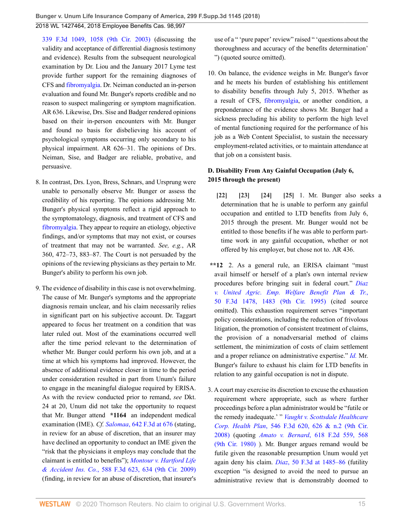**Bunger v. Unum Life Insurance Company of America, 299 F.Supp.3d 1145 (2018)**

2018 WL 1427464, 2018 Employee Benefits Cas. 98,997

[339 F.3d 1049, 1058 \(9th Cir. 2003\)](http://www.westlaw.com/Link/Document/FullText?findType=Y&serNum=2003554191&pubNum=0000506&originatingDoc=I264d33a02e8211e888d5f23feb60b681&refType=RP&fi=co_pp_sp_506_1058&originationContext=document&vr=3.0&rs=cblt1.0&transitionType=DocumentItem&contextData=(sc.UserEnteredCitation)#co_pp_sp_506_1058) (discussing the validity and acceptance of differential diagnosis testimony and evidence). Results from the subsequent neurological examination by Dr. Liou and the January 2017 Lyme test provide further support for the remaining diagnoses of CFS and [fibromyalgia.](http://www.westlaw.com/Link/Document/FullText?entityType=disease&entityId=Ic21f0856475411db9765f9243f53508a&originationContext=document&transitionType=DocumentItem&contextData=(sc.Default)&vr=3.0&rs=cblt1.0) Dr. Neiman conducted an in-person evaluation and found Mr. Bunger's reports credible and no reason to suspect malingering or symptom magnification. AR 636. Likewise, Drs. Sise and Badger rendered opinions based on their in-person encounters with Mr. Bunger and found no basis for disbelieving his account of psychological symptoms occurring only secondary to his physical impairment. AR 626–31. The opinions of Drs. Neiman, Sise, and Badger are reliable, probative, and persuasive.

- 8. In contrast, Drs. Lyon, Bress, Schnars, and Ursprung were unable to personally observe Mr. Bunger or assess the credibility of his reporting. The opinions addressing Mr. Bunger's physical symptoms reflect a rigid approach to the symptomatology, diagnosis, and treatment of CFS and [fibromyalgia.](http://www.westlaw.com/Link/Document/FullText?entityType=disease&entityId=Ic21f0856475411db9765f9243f53508a&originationContext=document&transitionType=DocumentItem&contextData=(sc.Default)&vr=3.0&rs=cblt1.0) They appear to require an etiology, objective findings, and/or symptoms that may not exist, or courses of treatment that may not be warranted. *See, e.g.*, AR 360, 472–73, 883–87. The Court is not persuaded by the opinions of the reviewing physicians as they pertain to Mr. Bunger's ability to perform his own job.
- 9. The evidence of disability in this case is not overwhelming. The cause of Mr. Bunger's symptoms and the appropriate diagnosis remain unclear, and his claim necessarily relies in significant part on his subjective account. Dr. Taggart appeared to focus her treatment on a condition that was later ruled out. Most of the examinations occurred well after the time period relevant to the determination of whether Mr. Bunger could perform his own job, and at a time at which his symptoms had improved. However, the absence of additional evidence closer in time to the period under consideration resulted in part from Unum's failure to engage in the meaningful dialogue required by ERISA. As with the review conducted prior to remand, *see* Dkt. 24 at 20, Unum did not take the opportunity to request that Mr. Bunger attend **\*1164** an independent medical examination (IME). *Cf. Salomaa*[, 642 F.3d at 676](http://www.westlaw.com/Link/Document/FullText?findType=Y&serNum=2025355366&pubNum=0000506&originatingDoc=I264d33a02e8211e888d5f23feb60b681&refType=RP&fi=co_pp_sp_506_676&originationContext=document&vr=3.0&rs=cblt1.0&transitionType=DocumentItem&contextData=(sc.UserEnteredCitation)#co_pp_sp_506_676) (stating, in review for an abuse of discretion, that an insurer may have declined an opportunity to conduct an IME given the "risk that the physicians it employs may conclude that the claimant is entitled to benefits"); *[Montour v. Hartford Life](http://www.westlaw.com/Link/Document/FullText?findType=Y&serNum=2020444293&pubNum=0000506&originatingDoc=I264d33a02e8211e888d5f23feb60b681&refType=RP&fi=co_pp_sp_506_634&originationContext=document&vr=3.0&rs=cblt1.0&transitionType=DocumentItem&contextData=(sc.UserEnteredCitation)#co_pp_sp_506_634) & Accident Ins. Co.*[, 588 F.3d 623, 634 \(9th Cir. 2009\)](http://www.westlaw.com/Link/Document/FullText?findType=Y&serNum=2020444293&pubNum=0000506&originatingDoc=I264d33a02e8211e888d5f23feb60b681&refType=RP&fi=co_pp_sp_506_634&originationContext=document&vr=3.0&rs=cblt1.0&transitionType=DocumentItem&contextData=(sc.UserEnteredCitation)#co_pp_sp_506_634) (finding, in review for an abuse of discretion, that insurer's

use of a " 'pure paper' review" raised " 'questions about the thoroughness and accuracy of the benefits determination' ") (quoted source omitted).

10. On balance, the evidence weighs in Mr. Bunger's favor and he meets his burden of establishing his entitlement to disability benefits through July 5, 2015. Whether as a result of CFS, [fibromyalgia](http://www.westlaw.com/Link/Document/FullText?entityType=disease&entityId=Ic21f0856475411db9765f9243f53508a&originationContext=document&transitionType=DocumentItem&contextData=(sc.Default)&vr=3.0&rs=cblt1.0), or another condition, a preponderance of the evidence shows Mr. Bunger had a sickness precluding his ability to perform the high level of mental functioning required for the performance of his job as a Web Content Specialist, to sustain the necessary employment-related activities, or to maintain attendance at that job on a consistent basis.

## **D. Disability From Any Gainful Occupation (July 6, 2015 through the present)**

- <span id="page-14-3"></span><span id="page-14-2"></span><span id="page-14-1"></span><span id="page-14-0"></span>**[\[22\]](#page-4-1) [\[23](#page-4-2)] [\[24\]](#page-4-3) [\[25\]](#page-4-0)** 1. Mr. Bunger also seeks a determination that he is unable to perform any gainful occupation and entitled to LTD benefits from July 6, 2015 through the present. Mr. Bunger would not be entitled to those benefits if he was able to perform parttime work in any gainful occupation, whether or not offered by his employer, but chose not to. AR 436.
- **\*\*12** 2. As a general rule, an ERISA claimant "must avail himself or herself of a plan's own internal review procedures before bringing suit in federal court." *[Diaz](http://www.westlaw.com/Link/Document/FullText?findType=Y&serNum=1995073037&pubNum=0000506&originatingDoc=I264d33a02e8211e888d5f23feb60b681&refType=RP&fi=co_pp_sp_506_1483&originationContext=document&vr=3.0&rs=cblt1.0&transitionType=DocumentItem&contextData=(sc.UserEnteredCitation)#co_pp_sp_506_1483) [v. United Agric. Emp. Welfare Benefit Plan & Tr.](http://www.westlaw.com/Link/Document/FullText?findType=Y&serNum=1995073037&pubNum=0000506&originatingDoc=I264d33a02e8211e888d5f23feb60b681&refType=RP&fi=co_pp_sp_506_1483&originationContext=document&vr=3.0&rs=cblt1.0&transitionType=DocumentItem&contextData=(sc.UserEnteredCitation)#co_pp_sp_506_1483)*, [50 F.3d 1478, 1483 \(9th Cir. 1995\)](http://www.westlaw.com/Link/Document/FullText?findType=Y&serNum=1995073037&pubNum=0000506&originatingDoc=I264d33a02e8211e888d5f23feb60b681&refType=RP&fi=co_pp_sp_506_1483&originationContext=document&vr=3.0&rs=cblt1.0&transitionType=DocumentItem&contextData=(sc.UserEnteredCitation)#co_pp_sp_506_1483) (cited source omitted). This exhaustion requirement serves "important policy considerations, including the reduction of frivolous litigation, the promotion of consistent treatment of claims, the provision of a nonadversarial method of claims settlement, the minimization of costs of claim settlement and a proper reliance on administrative expertise." *[Id.](http://www.westlaw.com/Link/Document/FullText?findType=Y&serNum=1995073037&pubNum=0000506&originatingDoc=I264d33a02e8211e888d5f23feb60b681&refType=RP&originationContext=document&vr=3.0&rs=cblt1.0&transitionType=DocumentItem&contextData=(sc.UserEnteredCitation))* Mr. Bunger's failure to exhaust his claim for LTD benefits in relation to any gainful occupation is not in dispute.
- 3. A court may exercise its discretion to excuse the exhaustion requirement where appropriate, such as where further proceedings before a plan administrator would be "futile or the remedy inadequate.' " *[Vaught v. Scottsdale Healthcare](http://www.westlaw.com/Link/Document/FullText?findType=Y&serNum=2017155182&pubNum=0000506&originatingDoc=I264d33a02e8211e888d5f23feb60b681&refType=RP&fi=co_pp_sp_506_626&originationContext=document&vr=3.0&rs=cblt1.0&transitionType=DocumentItem&contextData=(sc.UserEnteredCitation)#co_pp_sp_506_626) Corp. Health Plan*[, 546 F.3d 620, 626 & n.2 \(9th Cir.](http://www.westlaw.com/Link/Document/FullText?findType=Y&serNum=2017155182&pubNum=0000506&originatingDoc=I264d33a02e8211e888d5f23feb60b681&refType=RP&fi=co_pp_sp_506_626&originationContext=document&vr=3.0&rs=cblt1.0&transitionType=DocumentItem&contextData=(sc.UserEnteredCitation)#co_pp_sp_506_626) [2008\)](http://www.westlaw.com/Link/Document/FullText?findType=Y&serNum=2017155182&pubNum=0000506&originatingDoc=I264d33a02e8211e888d5f23feb60b681&refType=RP&fi=co_pp_sp_506_626&originationContext=document&vr=3.0&rs=cblt1.0&transitionType=DocumentItem&contextData=(sc.UserEnteredCitation)#co_pp_sp_506_626) (quoting *Amato v. Bernard*[, 618 F.2d 559, 568](http://www.westlaw.com/Link/Document/FullText?findType=Y&serNum=1980112658&pubNum=0000350&originatingDoc=I264d33a02e8211e888d5f23feb60b681&refType=RP&fi=co_pp_sp_350_568&originationContext=document&vr=3.0&rs=cblt1.0&transitionType=DocumentItem&contextData=(sc.UserEnteredCitation)#co_pp_sp_350_568) [\(9th Cir. 1980\)](http://www.westlaw.com/Link/Document/FullText?findType=Y&serNum=1980112658&pubNum=0000350&originatingDoc=I264d33a02e8211e888d5f23feb60b681&refType=RP&fi=co_pp_sp_350_568&originationContext=document&vr=3.0&rs=cblt1.0&transitionType=DocumentItem&contextData=(sc.UserEnteredCitation)#co_pp_sp_350_568) ). Mr. Bunger argues remand would be futile given the reasonable presumption Unum would yet again deny his claim. *Diaz*[, 50 F.3d at 1485–86](http://www.westlaw.com/Link/Document/FullText?findType=Y&serNum=1995073037&pubNum=0000506&originatingDoc=I264d33a02e8211e888d5f23feb60b681&refType=RP&fi=co_pp_sp_506_1485&originationContext=document&vr=3.0&rs=cblt1.0&transitionType=DocumentItem&contextData=(sc.UserEnteredCitation)#co_pp_sp_506_1485) (futility exception "is designed to avoid the need to pursue an administrative review that is demonstrably doomed to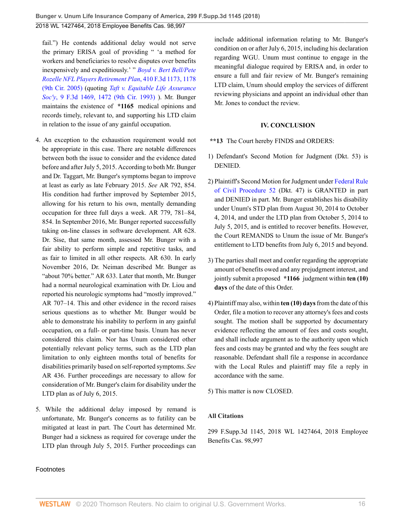fail.") He contends additional delay would not serve the primary ERISA goal of providing " 'a method for workers and beneficiaries to resolve disputes over benefits inexpensively and expeditiously.' " *[Boyd v. Bert Bell/Pete](http://www.westlaw.com/Link/Document/FullText?findType=Y&serNum=2006792445&pubNum=0000506&originatingDoc=I264d33a02e8211e888d5f23feb60b681&refType=RP&fi=co_pp_sp_506_1178&originationContext=document&vr=3.0&rs=cblt1.0&transitionType=DocumentItem&contextData=(sc.UserEnteredCitation)#co_pp_sp_506_1178) [Rozelle NFL Players Retirement Plan](http://www.westlaw.com/Link/Document/FullText?findType=Y&serNum=2006792445&pubNum=0000506&originatingDoc=I264d33a02e8211e888d5f23feb60b681&refType=RP&fi=co_pp_sp_506_1178&originationContext=document&vr=3.0&rs=cblt1.0&transitionType=DocumentItem&contextData=(sc.UserEnteredCitation)#co_pp_sp_506_1178)*, 410 F.3d 1173, 1178 [\(9th Cir. 2005\)](http://www.westlaw.com/Link/Document/FullText?findType=Y&serNum=2006792445&pubNum=0000506&originatingDoc=I264d33a02e8211e888d5f23feb60b681&refType=RP&fi=co_pp_sp_506_1178&originationContext=document&vr=3.0&rs=cblt1.0&transitionType=DocumentItem&contextData=(sc.UserEnteredCitation)#co_pp_sp_506_1178) (quoting *[Taft v. Equitable Life Assurance](http://www.westlaw.com/Link/Document/FullText?findType=Y&serNum=1993225599&pubNum=0000506&originatingDoc=I264d33a02e8211e888d5f23feb60b681&refType=RP&fi=co_pp_sp_506_1472&originationContext=document&vr=3.0&rs=cblt1.0&transitionType=DocumentItem&contextData=(sc.UserEnteredCitation)#co_pp_sp_506_1472) Soc'y*[, 9 F.3d 1469, 1472 \(9th Cir. 1993\)](http://www.westlaw.com/Link/Document/FullText?findType=Y&serNum=1993225599&pubNum=0000506&originatingDoc=I264d33a02e8211e888d5f23feb60b681&refType=RP&fi=co_pp_sp_506_1472&originationContext=document&vr=3.0&rs=cblt1.0&transitionType=DocumentItem&contextData=(sc.UserEnteredCitation)#co_pp_sp_506_1472) ). Mr. Bunger maintains the existence of **\*1165** medical opinions and records timely, relevant to, and supporting his LTD claim in relation to the issue of any gainful occupation.

- 4. An exception to the exhaustion requirement would not be appropriate in this case. There are notable differences between both the issue to consider and the evidence dated before and after July 5, 2015. According to both Mr. Bunger and Dr. Taggart, Mr. Bunger's symptoms began to improve at least as early as late February 2015. *See* AR 792, 854. His condition had further improved by September 2015, allowing for his return to his own, mentally demanding occupation for three full days a week. AR 779, 781–84, 854. In September 2016, Mr. Bunger reported successfully taking on-line classes in software development. AR 628. Dr. Sise, that same month, assessed Mr. Bunger with a fair ability to perform simple and repetitive tasks, and as fair to limited in all other respects. AR 630. In early November 2016, Dr. Neiman described Mr. Bunger as "about 70% better." AR 633. Later that month, Mr. Bunger had a normal neurological examination with Dr. Liou and reported his neurologic symptoms had "mostly improved." AR 707–14. This and other evidence in the record raises serious questions as to whether Mr. Bunger would be able to demonstrate his inability to perform in any gainful occupation, on a full- or part-time basis. Unum has never considered this claim. Nor has Unum considered other potentially relevant policy terms, such as the LTD plan limitation to only eighteen months total of benefits for disabilities primarily based on self-reported symptoms. *See* AR 436. Further proceedings are necessary to allow for consideration of Mr. Bunger's claim for disability under the LTD plan as of July 6, 2015.
- 5. While the additional delay imposed by remand is unfortunate, Mr. Bunger's concerns as to futility can be mitigated at least in part. The Court has determined Mr. Bunger had a sickness as required for coverage under the LTD plan through July 5, 2015. Further proceedings can

Footnotes

include additional information relating to Mr. Bunger's condition on or after July 6, 2015, including his declaration regarding WGU. Unum must continue to engage in the meaningful dialogue required by ERISA and, in order to ensure a full and fair review of Mr. Bunger's remaining LTD claim, Unum should employ the services of different reviewing physicians and appoint an individual other than Mr. Jones to conduct the review.

#### **IV. CONCLUSION**

- **\*\*13** The Court hereby FINDS and ORDERS:
- 1) Defendant's Second Motion for Judgment (Dkt. 53) is DENIED.
- 2) Plaintiff's Second Motion for Judgment under [Federal Rule](http://www.westlaw.com/Link/Document/FullText?findType=L&pubNum=1000600&cite=USFRCPR52&originatingDoc=I264d33a02e8211e888d5f23feb60b681&refType=LQ&originationContext=document&vr=3.0&rs=cblt1.0&transitionType=DocumentItem&contextData=(sc.UserEnteredCitation)) [of Civil Procedure 52](http://www.westlaw.com/Link/Document/FullText?findType=L&pubNum=1000600&cite=USFRCPR52&originatingDoc=I264d33a02e8211e888d5f23feb60b681&refType=LQ&originationContext=document&vr=3.0&rs=cblt1.0&transitionType=DocumentItem&contextData=(sc.UserEnteredCitation)) (Dkt. 47) is GRANTED in part and DENIED in part. Mr. Bunger establishes his disability under Unum's STD plan from August 30, 2014 to October 4, 2014, and under the LTD plan from October 5, 2014 to July 5, 2015, and is entitled to recover benefits. However, the Court REMANDS to Unum the issue of Mr. Bunger's entitlement to LTD benefits from July 6, 2015 and beyond.
- 3) The parties shall meet and confer regarding the appropriate amount of benefits owed and any prejudgment interest, and jointly submit a proposed **\*1166** judgment within **ten (10) days** of the date of this Order.
- 4) Plaintiff may also, within **ten (10) days** from the date of this Order, file a motion to recover any attorney's fees and costs sought. The motion shall be supported by documentary evidence reflecting the amount of fees and costs sought, and shall include argument as to the authority upon which fees and costs may be granted and why the fees sought are reasonable. Defendant shall file a response in accordance with the Local Rules and plaintiff may file a reply in accordance with the same.
- 5) This matter is now CLOSED.

#### **All Citations**

299 F.Supp.3d 1145, 2018 WL 1427464, 2018 Employee Benefits Cas. 98,997